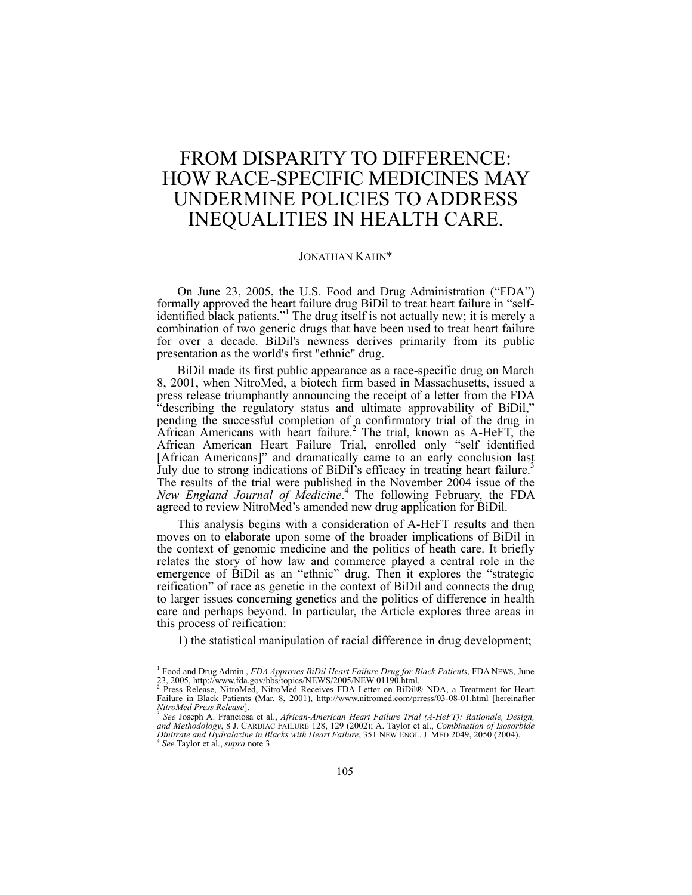# FROM DISPARITY TO DIFFERENCE: HOW RACE-SPECIFIC MEDICINES MAY UNDERMINE POLICIES TO ADDRESS INEQUALITIES IN HEALTH CARE.

## JONATHAN KAHN\*

On June 23, 2005, the U.S. Food and Drug Administration ("FDA") formally approved the heart failure drug BiDil to treat heart failure in "selfidentified black patients."<sup>1</sup> The drug itself is not actually new; it is merely a combination of two generic drugs that have been used to treat heart failure for over a decade. BiDil's newness derives primarily from its public presentation as the world's first "ethnic" drug.

BiDil made its first public appearance as a race-specific drug on March 8, 2001, when NitroMed, a biotech firm based in Massachusetts, issued a press release triumphantly announcing the receipt of a letter from the FDA "describing the regulatory status and ultimate approvability of BiDil," pending the successful completion of a confirmatory trial of the drug in African Americans with heart failure.<sup>2</sup> The trial, known as A-HeFT, the African American Heart Failure Trial, enrolled only "self identified [African Americans]" and dramatically came to an early conclusion last July due to strong indications of BiDil's efficacy in treating heart failure.<sup>3</sup> The results of the trial were published in the November 2004 issue of the *New England Journal of Medicine*. 4 The following February, the FDA agreed to review NitroMed's amended new drug application for BiDil.

This analysis begins with a consideration of A-HeFT results and then moves on to elaborate upon some of the broader implications of BiDil in the context of genomic medicine and the politics of heath care. It briefly relates the story of how law and commerce played a central role in the emergence of BiDil as an "ethnic" drug. Then it explores the "strategic reification" of race as genetic in the context of BiDil and connects the drug to larger issues concerning genetics and the politics of difference in health care and perhaps beyond. In particular, the Article explores three areas in this process of reification:

1) the statistical manipulation of racial difference in drug development;

<sup>&</sup>lt;sup>1</sup> Food and Drug Admin., *FDA Approves BiDil Heart Failure Drug for Black Patients*, FDA NEWS, June 23, 2005, http://www.fda.gov/bbs/topics/NEWS/2005/NEW 01190.html.<br>23, 2005, http://www.fda.gov/bbs/topics/NEWS/2005/NEW 0

Failure in Black Patients (Mar. 8, 2001), http://www.nitromed.com/prress/03-08-01.html [hereinafter NitroMed Press Release].

*NitroMed Press Release*]. 3 *See* Joseph A. Franciosa et al., *African-American Heart Failure Trial (A-HeFT): Rationale, Design,*  and Methodology, 8 J. CARDIAC FAILURE 128, 129 (2002); A. Taylor et al., *Combination of Isosorbide*<br>Dinitrate and Hydralazine in Blacks with Heart Failure, 351 NEW ENGL. J. MED 2049, 2050 (2004).<br><sup>4</sup> See Taylor et al., su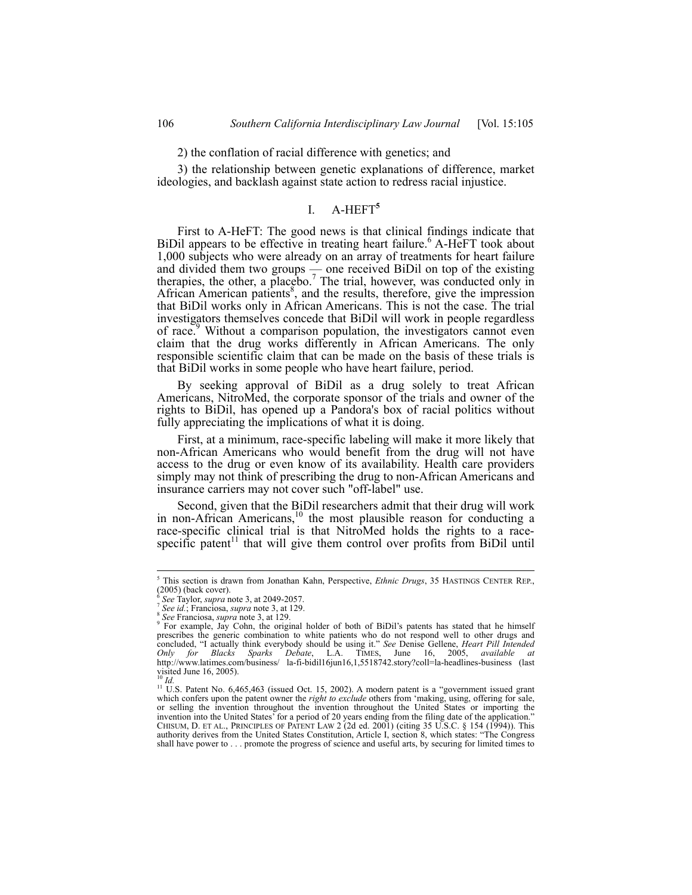# 2) the conflation of racial difference with genetics; and

3) the relationship between genetic explanations of difference, market ideologies, and backlash against state action to redress racial injustice.

# I. A-HEFT**<sup>5</sup>**

First to A-HeFT: The good news is that clinical findings indicate that BiDil appears to be effective in treating heart failure.<sup>6</sup> A-HeFT took about 1,000 subjects who were already on an array of treatments for heart failure and divided them two groups — one received BiDil on top of the existing therapies, the other, a placebo.<sup>7</sup> The trial, however, was conducted only in African American patients<sup>8</sup>, and the results, therefore, give the impression that BiDil works only in African Americans. This is not the case. The trial investigators themselves concede that BiDil will work in people regardless of race.<sup>9</sup> Without a comparison population, the investigators cannot even claim that the drug works differently in African Americans. The only responsible scientific claim that can be made on the basis of these trials is that BiDil works in some people who have heart failure, period.

By seeking approval of BiDil as a drug solely to treat African Americans, NitroMed, the corporate sponsor of the trials and owner of the rights to BiDil, has opened up a Pandora's box of racial politics without fully appreciating the implications of what it is doing.

First, at a minimum, race-specific labeling will make it more likely that non-African Americans who would benefit from the drug will not have access to the drug or even know of its availability. Health care providers simply may not think of prescribing the drug to non-African Americans and insurance carriers may not cover such "off-label" use.

Second, given that the BiDil researchers admit that their drug will work in non-African Americans, $10$  the most plausible reason for conducting a race-specific clinical trial is that NitroMed holds the rights to a racespecific patent<sup>11</sup> that will give them control over profits from BiDil until

 5 This section is drawn from Jonathan Kahn, Perspective, *Ethnic Drugs*, 35 HASTINGS CENTER REP.,  $(2005)$  (back cover).<br> $6$  See Taylor, supra note 3, at 2049-2057.

<sup>&</sup>lt;sup>7</sup> See *id.*; Franciosa, *supra* note 3, at 129. <sup>8</sup> See Franciosa, *supra* note 3, at 129.

For example, Jay Cohn, the original holder of both of BiDil's patents has stated that he himself prescribes the generic combination to white patients who do not respond well to other drugs and concluded, "I actually think everybody should be using it." See Denise Gellene, *Heart Pill Intended* Only for Blacks Sparks D http://www.latimes.com/business/ la-fi-bidil16jun16,1,5518742.story?coll=la-headlines-business (last visited June 16, 2005).<br><sup>10</sup> Id.

<sup>&</sup>lt;sup>11</sup> U.S. Patent No. 6,465,463 (issued Oct. 15, 2002). A modern patent is a "government issued grant which confers upon the patent owner the *right to exclude* others from 'making, using, offering for sale, or selling the invention throughout the invention throughout the United States or importing the invention into the United States' for a period of 20 years ending from the filing date of the application."<br>CHISUM, D. ET AL., PRINCIPLES OF PATENT LAW 2 (2d ed. 2001) (citing 35 U.S.C. § 154 (1994)). This<br>authority derive shall have power to . . . promote the progress of science and useful arts, by securing for limited times to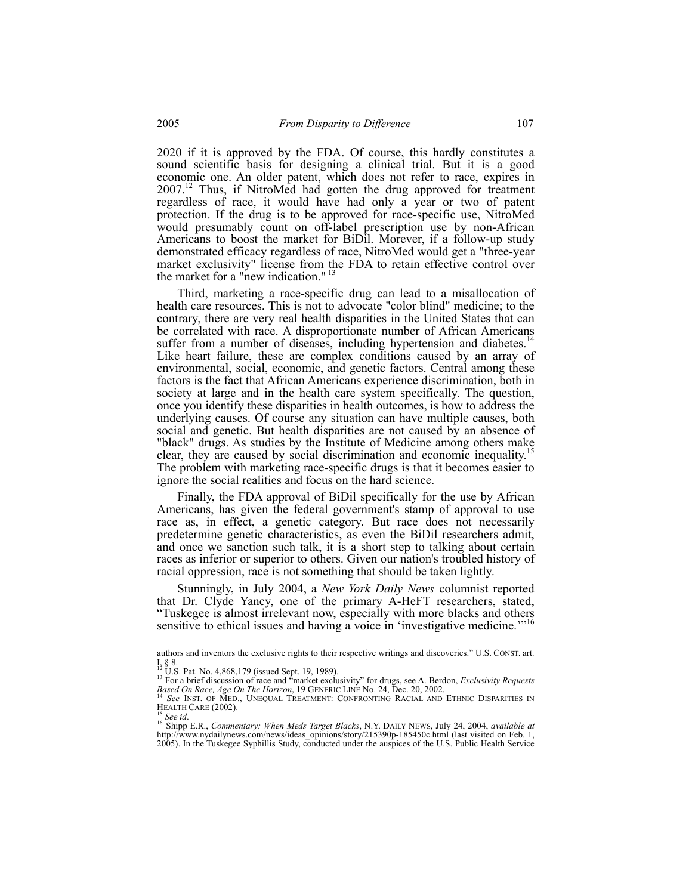2020 if it is approved by the FDA. Of course, this hardly constitutes a sound scientific basis for designing a clinical trial. But it is a good economic one. An older patent, which does not refer to race, expires in 2007.<sup>12</sup> Thus, if NitroMed had gotten the drug approved for treatment regardless of race, it would have had only a year or two of patent protection. If the drug is to be approved for race-specific use, NitroMed would presumably count on off-label prescription use by non-African Americans to boost the market for BiDil. Morever, if a follow-up study demonstrated efficacy regardless of race, NitroMed would get a "three-year market exclusivity" license from the FDA to retain effective control over the market for a "new indication."  $13$ 

Third, marketing a race-specific drug can lead to a misallocation of health care resources. This is not to advocate "color blind" medicine; to the contrary, there are very real health disparities in the United States that can be correlated with race. A disproportionate number of African Americans suffer from a number of diseases, including hypertension and diabetes.<sup>14</sup> Like heart failure, these are complex conditions caused by an array of environmental, social, economic, and genetic factors. Central among these factors is the fact that African Americans experience discrimination, both in society at large and in the health care system specifically. The question, once you identify these disparities in health outcomes, is how to address the underlying causes. Of course any situation can have multiple causes, both social and genetic. But health disparities are not caused by an absence of "black" drugs. As studies by the Institute of Medicine among others make clear, they are caused by social discrimination and economic inequality.<sup>1</sup> The problem with marketing race-specific drugs is that it becomes easier to ignore the social realities and focus on the hard science.

Finally, the FDA approval of BiDil specifically for the use by African Americans, has given the federal government's stamp of approval to use race as, in effect, a genetic category. But race does not necessarily predetermine genetic characteristics, as even the BiDil researchers admit, and once we sanction such talk, it is a short step to talking about certain races as inferior or superior to others. Given our nation's troubled history of racial oppression, race is not something that should be taken lightly.

Stunningly, in July 2004, a *New York Daily News* columnist reported that Dr. Clyde Yancy, one of the primary A-HeFT researchers, stated, "Tuskegee is almost irrelevant now, especially with more blacks and others sensitive to ethical issues and having a voice in 'investigative medicine.'"<sup>16</sup>

authors and inventors the exclusive rights to their respective writings and discoveries." U.S. CONST. art. I, § 8.<br><sup>12</sup> U.S. Pat. No. 4,868,179 (issued Sept. 19, 1989).<br><sup>13</sup> For a brief discussion of race and "market exclusivity" for drugs, see A. Berdon, *Exclusivity Requests* 

*Based On Race, Age On The Horizon*, 19 GENERIC LINE No. 24, Dec. 20, 2002.<br><sup>14</sup> *See* INST. OF MED., UNEQUAL TREATMENT: CONFRONTING RACIAL AND ETHNIC DISPARITIES IN

HEALTH CARE (2002).<br><sup>15</sup> See id.<br><sup>16</sup> Shipp E.R., *Commentary: When Meds Target Blacks*, N.Y. DAILY NEWS, July 24, 2004, *available at*<br>http://www.nydailynews.com/news/ideas opinions/story/215390p-185450c.html (last visite 2005). In the Tuskegee Syphillis Study, conducted under the auspices of the U.S. Public Health Service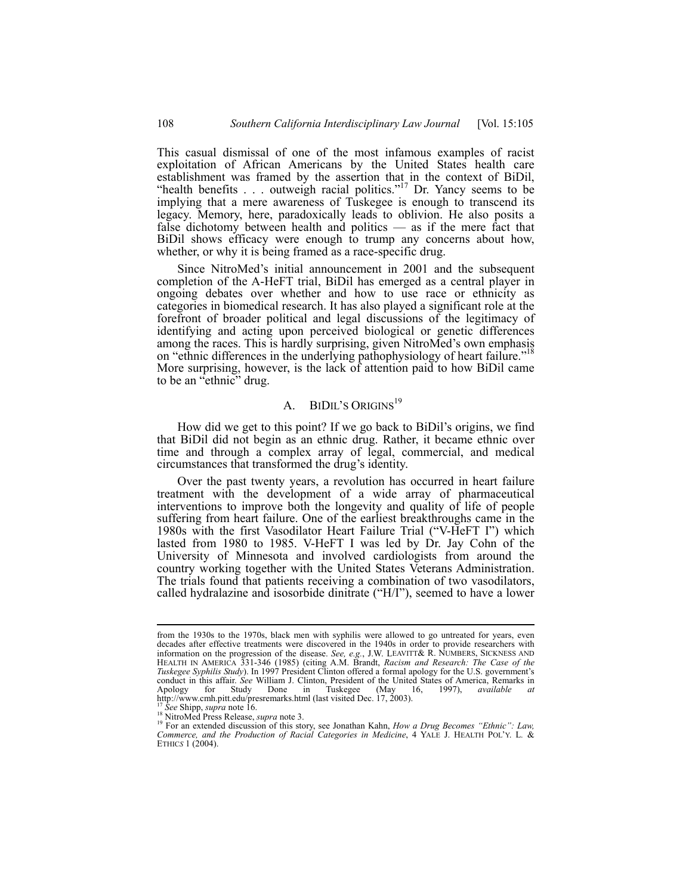This casual dismissal of one of the most infamous examples of racist exploitation of African Americans by the United States health care establishment was framed by the assertion that in the context of BiDil, "health benefits  $\ldots$  outweigh racial politics."<sup>17</sup> Dr. Yancy seems to be implying that a mere awareness of Tuskegee is enough to transcend its legacy. Memory, here, paradoxically leads to oblivion. He also posits a false dichotomy between health and politics — as if the mere fact that BiDil shows efficacy were enough to trump any concerns about how, whether, or why it is being framed as a race-specific drug.

Since NitroMed's initial announcement in 2001 and the subsequent completion of the A-HeFT trial, BiDil has emerged as a central player in ongoing debates over whether and how to use race or ethnicity as categories in biomedical research. It has also played a significant role at the forefront of broader political and legal discussions of the legitimacy of identifying and acting upon perceived biological or genetic differences among the races. This is hardly surprising, given NitroMed's own emphasis on "ethnic differences in the underlying pathophysiology of heart failure."<sup>18</sup> More surprising, however, is the lack of attention paid to how BiDil came to be an "ethnic" drug.

# A. BIDIL'S ORIGINS<sup>19</sup>

How did we get to this point? If we go back to BiDil's origins, we find that BiDil did not begin as an ethnic drug. Rather, it became ethnic over time and through a complex array of legal, commercial, and medical circumstances that transformed the drug's identity.

Over the past twenty years, a revolution has occurred in heart failure treatment with the development of a wide array of pharmaceutical interventions to improve both the longevity and quality of life of people suffering from heart failure. One of the earliest breakthroughs came in the 1980s with the first Vasodilator Heart Failure Trial ("V-HeFT I") which lasted from 1980 to 1985. V-HeFT I was led by Dr. Jay Cohn of the University of Minnesota and involved cardiologists from around the country working together with the United States Veterans Administration. The trials found that patients receiving a combination of two vasodilators, called hydralazine and isosorbide dinitrate ("H/I"), seemed to have a lower

from the 1930s to the 1970s, black men with syphilis were allowed to go untreated for years, even decades after effective treatments were discovered in the 1940s in order to provide researchers with information on the progression of the disease. *See, e.g.*, J.W. LEAVITT& R. NUMBERS, SICKNESS AND HEALTH IN AMERICA 331-346 (1985) (citing A.M. Brandt, *Racism and Research: The Case of the Tuskegee Syphilis Study*). In 1997 President Clinton offered a formal apology for the U.S. government's conduct in this affair. *See* William J. Clinton, President of the United States of America, Remarks in Apology for Study Done in Tuskegee (May 16, 1997), *available at*  Apology for Study Done in Tuskegee (May 16, 1997), http://www.cmh.pitt.edu/presremarks.html (last visited Dec. 17, 2003).<br>
<sup>17</sup> See Shipp, *supra* note 16.

<sup>&</sup>lt;sup>17</sup> See Shipp, *supra* note 16.<br><sup>18</sup> NitroMed Press Release, *supra* note 3.<br><sup>19</sup> For an extended discussion of this story, see Jonathan Kahn, *How a Drug Becomes "Ethnic": Law,*<br>*Commerce, and the Production of Racial C* ETHIC*S* 1 (2004).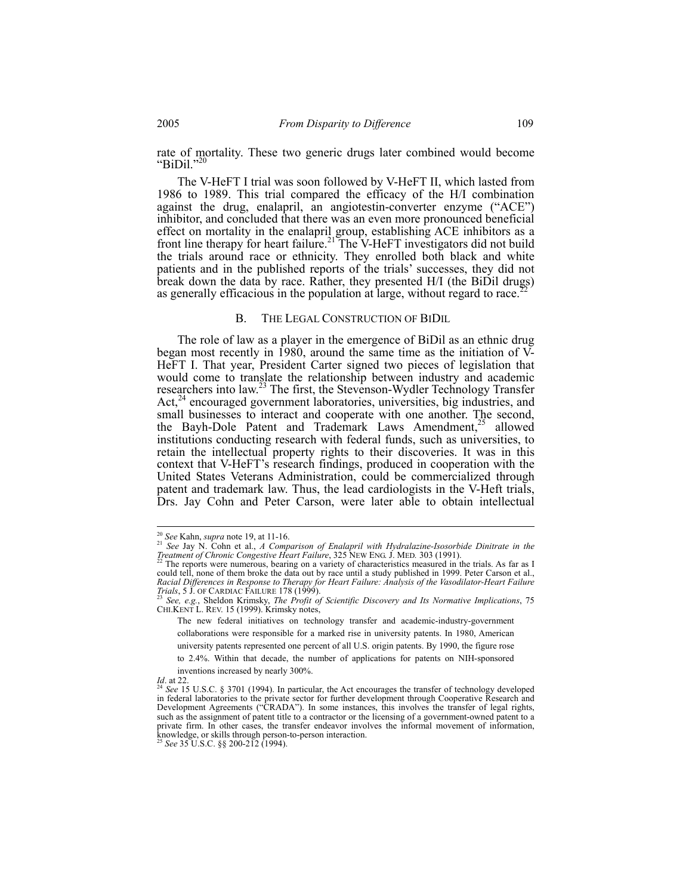rate of mortality. These two generic drugs later combined would become " $BiDi!$ ."

The V-HeFT I trial was soon followed by V-HeFT II, which lasted from 1986 to 1989. This trial compared the efficacy of the H/I combination against the drug, enalapril, an angiotestin-converter enzyme ("ACE") inhibitor, and concluded that there was an even more pronounced beneficial effect on mortality in the enalapril group, establishing ACE inhibitors as a front line therapy for heart failure.<sup>21</sup> The V-HeFT investigators did not build the trials around race or ethnicity. They enrolled both black and white patients and in the published reports of the trials' successes, they did not break down the data by race. Rather, they presented H/I (the BiDil drugs) as generally efficacious in the population at large, without regard to race.<sup>2</sup>

#### B. THE LEGAL CONSTRUCTION OF BIDIL

The role of law as a player in the emergence of BiDil as an ethnic drug began most recently in 1980, around the same time as the initiation of V-HeFT I. That year, President Carter signed two pieces of legislation that would come to translate the relationship between industry and academic researchers into law.<sup>23</sup> The first, the Stevenson-Wydler Technology Transfer Act,<sup>24</sup> encouraged government laboratories, universities, big industries, and small businesses to interact and cooperate with one another. The second, the Bayh-Dole Patent and Trademark Laws Amendment,<sup>25</sup> allowed institutions conducting research with federal funds, such as universities, to retain the intellectual property rights to their discoveries. It was in this context that V-HeFT's research findings, produced in cooperation with the United States Veterans Administration, could be commercialized through patent and trademark law. Thus, the lead cardiologists in the V-Heft trials, Drs. Jay Cohn and Peter Carson, were later able to obtain intellectual

 $\overline{\phantom{a}}$ 

<sup>&</sup>lt;sup>20</sup> See Kahn, *supra* note 19, at 11-16.<br><sup>21</sup> See Jay N. Cohn et al., *A Comparison of Enalapril with Hydralazine-Isosorbide Dinitrate in the* 

*Treatment of Chronic Congestive Heart Failure*, 325 NEW ENG. J. MED. 303 (1991). <sup>22</sup> The reports were numerous, bearing on a variety of characteristics measured in the trials. As far as I could tell, none of them broke the data out by race until a study published in 1999. Peter Carson et al., *Racial Differences in Response to Therapy for Heart Failure: Analysis of the Vasodilator-Heart Failure* 

*Trials*, 5 J. OF CARDIAC FAILURE 178 (1999).<br><sup>23</sup> *See, e.g.*, Sheldon Krimsky, *The Profit of Scientific Discovery and Its Normative Implications*, 75 CHI.KENT L. REV. 15 (1999). Krimsky notes,

The new federal initiatives on technology transfer and academic-industry-government collaborations were responsible for a marked rise in university patents. In 1980, American

university patents represented one percent of all U.S. origin patents. By 1990, the figure rose

to 2.4%. Within that decade, the number of applications for patents on NIH-sponsored inventions increased by nearly 300%.

*Id.* at 22.<br><sup>24</sup> *See* 15 U.S.C. § 3701 (1994). In particular, the Act encourages the transfer of technology developed in federal laboratories to the private sector for further development through Cooperative Research and Development Agreements ("CRADA"). In some instances, this involves the transfer of legal rights, such as the assignment of patent title to a contractor or the licensing of a government-owned patent to a private firm. In other cases, the transfer endeavor involves the informal movement of information, knowledge, or skills through person-to-person interaction.<sup>25</sup> *See* 35 U.S.C. §§ 200-212 (1994).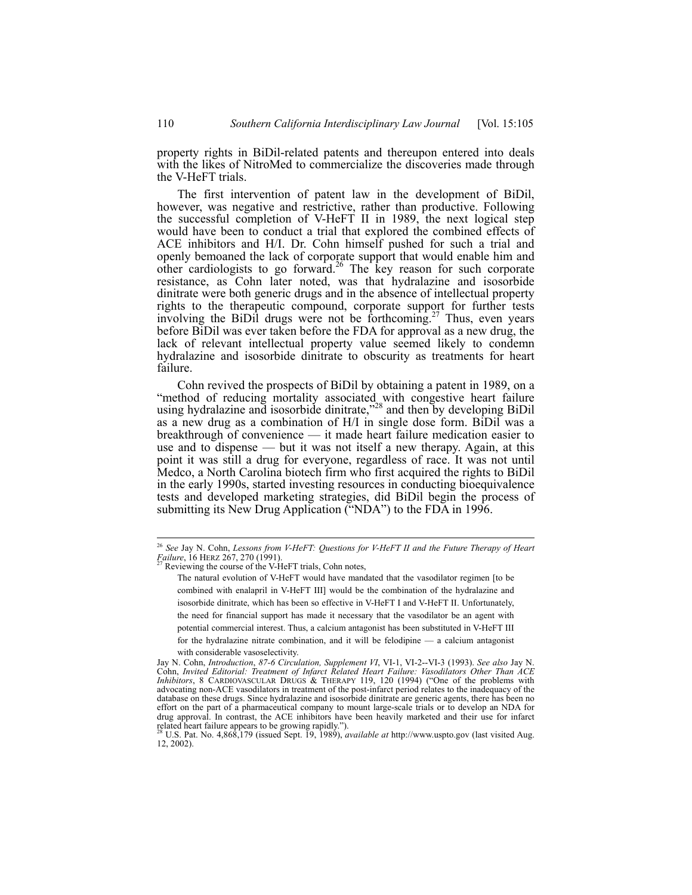property rights in BiDil-related patents and thereupon entered into deals with the likes of NitroMed to commercialize the discoveries made through the V-HeFT trials.

The first intervention of patent law in the development of BiDil, however, was negative and restrictive, rather than productive. Following the successful completion of V-HeFT II in 1989, the next logical step would have been to conduct a trial that explored the combined effects of ACE inhibitors and H/I. Dr. Cohn himself pushed for such a trial and openly bemoaned the lack of corporate support that would enable him and other cardiologists to go forward.<sup>26</sup> The key reason for such corporate resistance, as Cohn later noted, was that hydralazine and isosorbide dinitrate were both generic drugs and in the absence of intellectual property rights to the therapeutic compound, corporate support for further tests involving the BiDil drugs were not be forthcoming.<sup>27</sup> Thus, even years before BiDil was ever taken before the FDA for approval as a new drug, the lack of relevant intellectual property value seemed likely to condemn hydralazine and isosorbide dinitrate to obscurity as treatments for heart failure.

Cohn revived the prospects of BiDil by obtaining a patent in 1989, on a "method of reducing mortality associated with congestive heart failure using hydralazine and isosorbide dinitrate,<sup>228</sup> and then by developing BiDil as a new drug as a combination of H/I in single dose form. BiDil was a breakthrough of convenience — it made heart failure medication easier to use and to dispense — but it was not itself a new therapy. Again, at this point it was still a drug for everyone, regardless of race. It was not until Medco, a North Carolina biotech firm who first acquired the rights to BiDil in the early 1990s, started investing resources in conducting bioequivalence tests and developed marketing strategies, did BiDil begin the process of submitting its New Drug Application ("NDA") to the FDA in 1996.

with considerable vasoselectivity.

<sup>26</sup> *See* Jay N. Cohn, *Lessons from V-HeFT: Questions for V-HeFT II and the Future Therapy of Heart Failure*, 16 HERZ 267, 270 (1991). <br><sup>27</sup> Reviewing the course of the V-HeFT trials, Cohn notes,

The natural evolution of V-HeFT would have mandated that the vasodilator regimen [to be combined with enalapril in V-HeFT III] would be the combination of the hydralazine and isosorbide dinitrate, which has been so effective in V-HeFT I and V-HeFT II. Unfortunately, the need for financial support has made it necessary that the vasodilator be an agent with potential commercial interest. Thus, a calcium antagonist has been substituted in V-HeFT III for the hydralazine nitrate combination, and it will be felodipine — a calcium antagonist

Jay N. Cohn, *Introduction*, *87-6 Circulation, Supplement VI*, VI-1, VI-2--VI-3 (1993). *See also* Jay N. Cohn, *Invited Editorial: Treatment of Infarct Related Heart Failure: Vasodilators Other Than ACE Inhibitors*, 8 CARDIOVASCULAR DRUGS & THERAPY 119, 120 (1994) ("One of the problems with advocating non-ACE vasodilators in treatment of the post-infarct period relates to the inadequacy of the database on these drugs. Since hydralazine and isosorbide dinitrate are generic agents, there has been no effort on the part of a pharmaceutical company to mount large-scale trials or to develop an NDA for drug approval. In contrast, the ACE inhibitors have been heavily marketed and their use for infarct related heart failure appears to be growing rapidly."). 28 U.S. Pat. No. 4,868,179 (issued Sept. 19, 1989), *available at* http://www.uspto.gov (last visited Aug.

<sup>12, 2002).</sup>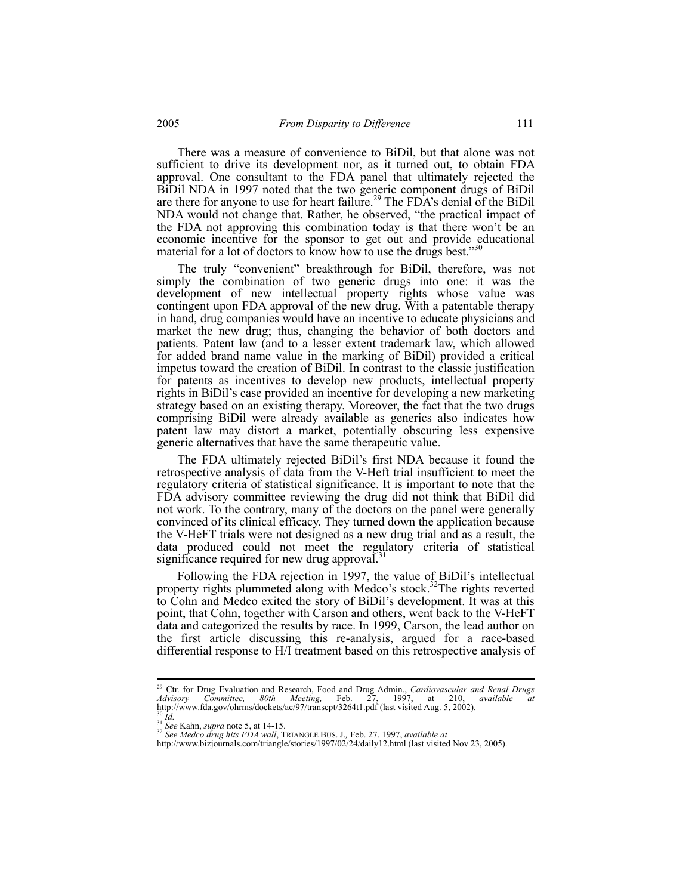There was a measure of convenience to BiDil, but that alone was not sufficient to drive its development nor, as it turned out, to obtain FDA approval. One consultant to the FDA panel that ultimately rejected the BiDil NDA in 1997 noted that the two generic component drugs of BiDil are there for anyone to use for heart failure.<sup>29</sup> The FDA's denial of the BiDil NDA would not change that. Rather, he observed, "the practical impact of the FDA not approving this combination today is that there won't be an economic incentive for the sponsor to get out and provide educational material for a lot of doctors to know how to use the drugs best."

The truly "convenient" breakthrough for BiDil, therefore, was not simply the combination of two generic drugs into one: it was the development of new intellectual property rights whose value was contingent upon FDA approval of the new drug. With a patentable therapy in hand, drug companies would have an incentive to educate physicians and market the new drug; thus, changing the behavior of both doctors and patients. Patent law (and to a lesser extent trademark law, which allowed for added brand name value in the marking of BiDil) provided a critical impetus toward the creation of BiDil. In contrast to the classic justification for patents as incentives to develop new products, intellectual property rights in BiDil's case provided an incentive for developing a new marketing strategy based on an existing therapy. Moreover, the fact that the two drugs comprising BiDil were already available as generics also indicates how patent law may distort a market, potentially obscuring less expensive generic alternatives that have the same therapeutic value.

The FDA ultimately rejected BiDil's first NDA because it found the retrospective analysis of data from the V-Heft trial insufficient to meet the regulatory criteria of statistical significance. It is important to note that the FDA advisory committee reviewing the drug did not think that BiDil did not work. To the contrary, many of the doctors on the panel were generally convinced of its clinical efficacy. They turned down the application because the V-HeFT trials were not designed as a new drug trial and as a result, the data produced could not meet the regulatory criteria of statistical significance required for new drug approval.<sup>31</sup>

Following the FDA rejection in 1997, the value of BiDil's intellectual property rights plummeted along with Medco's stock.<sup>32</sup>The rights reverted to Cohn and Medco exited the story of BiDil's development. It was at this point, that Cohn, together with Carson and others, went back to the V-HeFT data and categorized the results by race. In 1999, Carson, the lead author on the first article discussing this re-analysis, argued for a race-based differential response to H/I treatment based on this retrospective analysis of

 $\overline{\phantom{a}}$ 

<sup>&</sup>lt;sup>29</sup> Ctr. for Drug Evaluation and Research, Food and Drug Admin., *Cardiovascular and Renal Drugs Advisory Committee, 80th Meeting, Feb. 27, 1997, at 210, <i>available at* http://www.fda.gov/ohrms/dockets/ac/97/transcpt/326

http://www.bizjournals.com/triangle/stories/1997/02/24/daily12.html (last visited Nov 23, 2005).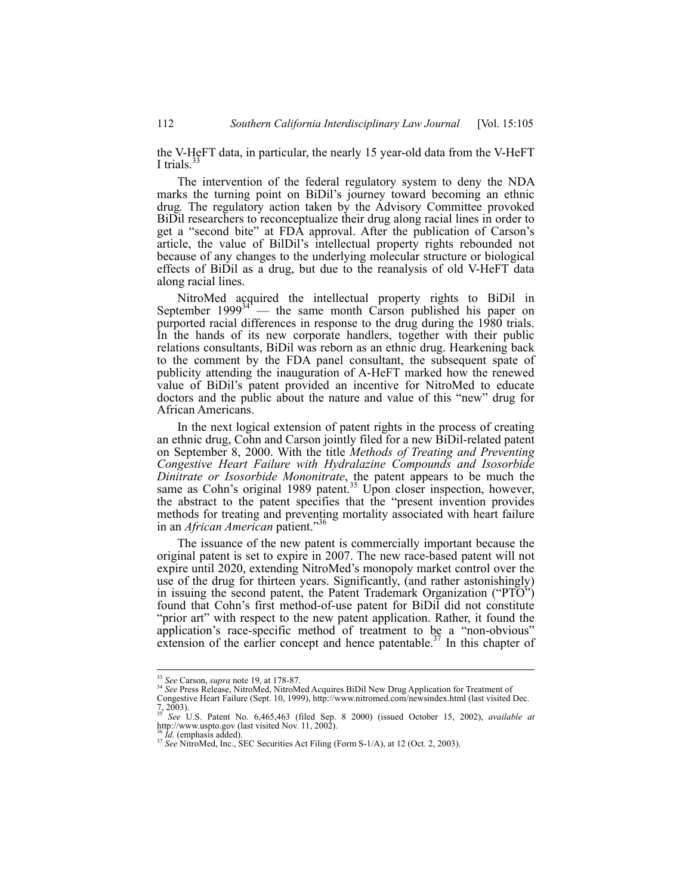the V-HeFT data, in particular, the nearly 15 year-old data from the V-HeFT I trials.<sup>3</sup>

The intervention of the federal regulatory system to deny the NDA marks the turning point on BiDil's journey toward becoming an ethnic drug*.* The regulatory action taken by the Advisory Committee provoked BiDil researchers to reconceptualize their drug along racial lines in order to get a "second bite" at FDA approval. After the publication of Carson's article, the value of BilDil's intellectual property rights rebounded not because of any changes to the underlying molecular structure or biological effects of BiDil as a drug, but due to the reanalysis of old V-HeFT data along racial lines.

NitroMed acquired the intellectual property rights to BiDil in September  $1999^{34}$  — the same month Carson published his paper on purported racial differences in response to the drug during the 1980 trials. In the hands of its new corporate handlers, together with their public relations consultants, BiDil was reborn as an ethnic drug. Hearkening back to the comment by the FDA panel consultant, the subsequent spate of publicity attending the inauguration of A-HeFT marked how the renewed value of BiDil's patent provided an incentive for NitroMed to educate doctors and the public about the nature and value of this "new" drug for African Americans.

In the next logical extension of patent rights in the process of creating an ethnic drug, Cohn and Carson jointly filed for a new BiDil-related patent on September 8, 2000. With the title *Methods of Treating and Preventing Congestive Heart Failure with Hydralazine Compounds and Isosorbide Dinitrate or Isosorbide Mononitrate*, the patent appears to be much the same as Cohn's original 1989 patent.<sup>35</sup> Upon closer inspection, however, the abstract to the patent specifies that the "present invention provides methods for treating and preventing mortality associated with heart failure in an *African American* patient."<sup>3</sup>

The issuance of the new patent is commercially important because the original patent is set to expire in 2007. The new race-based patent will not expire until 2020, extending NitroMed's monopoly market control over the use of the drug for thirteen years. Significantly, (and rather astonishingly) in issuing the second patent, the Patent Trademark Organization ("PTO") found that Cohn's first method-of-use patent for BiDil did not constitute "prior art" with respect to the new patent application. Rather, it found the application's race-specific method of treatment to be a "non-obvious" extension of the earlier concept and hence patentable.<sup>37</sup> In this chapter of

<sup>&</sup>lt;sup>33</sup> See Carson, *supra* note 19, at 178-87.

<sup>33</sup> *See* Carson, *supra* note 19, at 178-87. 34 *See* Press Release, NitroMed, NitroMed Acquires BiDil New Drug Application for Treatment of

Congestive Heart Failure (Sept. 10, 1999), http://www.nitromed.com/newsindex.html (last visited Dec. 7, 2003). <sup>35</sup> *See* U.S. Patent No. 6,465,463 (filed Sep. 8 2000) (issued October 15, 2002), *available at* 

http://www.uspto.gov (last visited Nov. 11, 2002).<br>  $\frac{36 \text{ Id.}}{6}$  (emphasis added).

<sup>36</sup> *Id.* (emphasis added). <sup>37</sup> *See* NitroMed, Inc., SEC Securities Act Filing (Form S-1/A), at 12 (Oct. 2, 2003).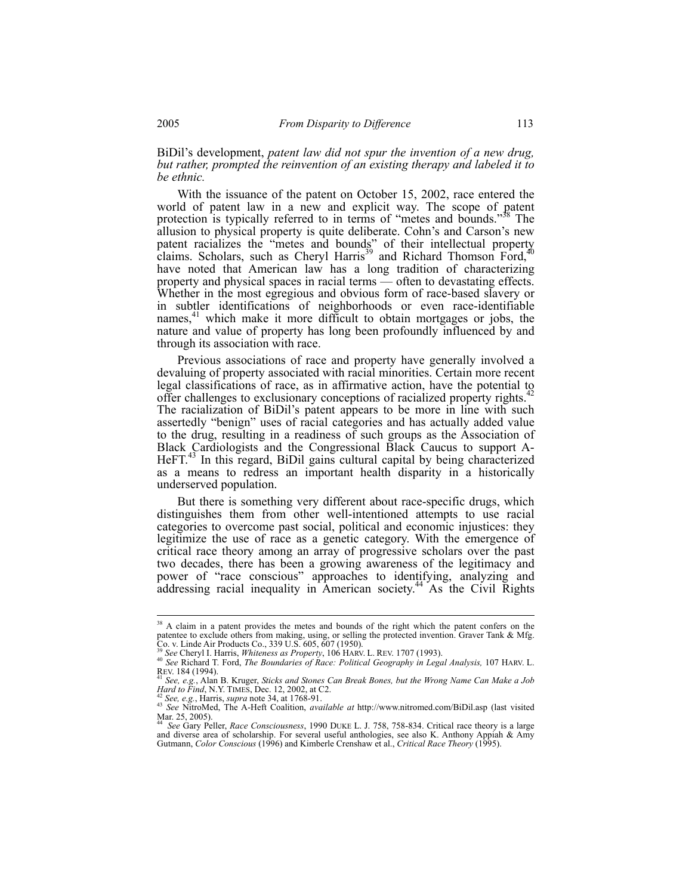BiDil's development, *patent law did not spur the invention of a new drug, but rather, prompted the reinvention of an existing therapy and labeled it to be ethnic.*

With the issuance of the patent on October 15, 2002, race entered the world of patent law in a new and explicit way. The scope of patent protection is typically referred to in terms of "metes and bounds."<sup>38</sup> The allusion to physical property is quite deliberate. Cohn's and Carson's new patent racializes the "metes and bounds" of their intellectual property claims. Scholars, such as Cheryl Harris<sup>39</sup> and Richard Thomson Ford,<sup>40</sup> have noted that American law has a long tradition of characterizing property and physical spaces in racial terms — often to devastating effects. Whether in the most egregious and obvious form of race-based slavery or in subtler identifications of neighborhoods or even race-identifiable names, $41$  which make it more difficult to obtain mortgages or jobs, the nature and value of property has long been profoundly influenced by and through its association with race.

Previous associations of race and property have generally involved a devaluing of property associated with racial minorities. Certain more recent legal classifications of race, as in affirmative action, have the potential to offer challenges to exclusionary conceptions of racialized property rights.<sup>42</sup> The racialization of BiDil's patent appears to be more in line with such assertedly "benign" uses of racial categories and has actually added value to the drug, resulting in a readiness of such groups as the Association of Black Cardiologists and the Congressional Black Caucus to support A-HeFT.<sup>43</sup> In this regard, BiDil gains cultural capital by being characterized as a means to redress an important health disparity in a historically underserved population.

But there is something very different about race-specific drugs, which distinguishes them from other well-intentioned attempts to use racial categories to overcome past social, political and economic injustices: they legitimize the use of race as a genetic category. With the emergence of critical race theory among an array of progressive scholars over the past two decades, there has been a growing awareness of the legitimacy and power of "race conscious" approaches to identifying, analyzing and addressing racial inequality in American society.<sup>44</sup> As the Civil Rights

<sup>&</sup>lt;sup>38</sup> A claim in a patent provides the metes and bounds of the right which the patent confers on the patentee to exclude others from making, using, or selling the protected invention. Graver Tank & Mfg. Co. v. Linde Air Products Co., 339 U.S. 605, 607 (1950).<br> ${}^{39}$  See Cheryl I. Harris, *Whiteness as Property*, 106 HARV. L. REV. 1707 (1993).

<sup>39</sup> See Cheryl I. Harris, *Whiteness as Property, 2008* Holidal Geography in Legal Analysis, 107 HARV. L.<br>REV. 184 (1994). <br><sup>41</sup> See Richard T. Ford, *The Boundaries of Race: Political Geography in Legal Analysis,* 107 HARV

<sup>&</sup>lt;sup>41</sup> *See, e.g., Alan B. Kruger, <i>Sticks and Stones Can Break Bones, but the Wrong Name Can Make a Job Hard to Find, N.Y. TIMES, Dec. 12, 2002, at C2.* 

<sup>&</sup>lt;sup>42</sup> See, e.g., Harris, supra note 34, at 1768-91.<br><sup>43</sup> See, e.g., Harris, supra note 34, at 1768-91.<br><sup>43</sup> See NitroMed, The A-Heft Coalition, *available at* http://www.nitromed.com/BiDil.asp (last visited Mar. 25, 2005).

<sup>44</sup>*See* Gary Peller, *Race Consciousness*, 1990 DUKE L. J. 758, 758-834. Critical race theory is a large and diverse area of scholarship. For several useful anthologies, see also K. Anthony Appiah & Amy Gutmann, *Color Conscious* (1996) and Kimberle Crenshaw et al., *Critical Race Theory* (1995).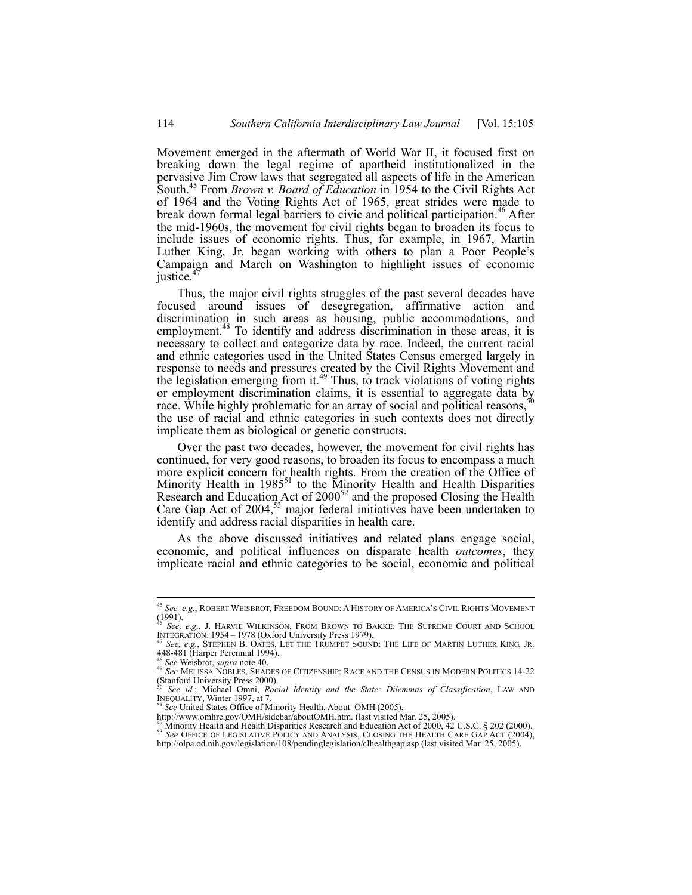Movement emerged in the aftermath of World War II, it focused first on breaking down the legal regime of apartheid institutionalized in the pervasive Jim Crow laws that segregated all aspects of life in the American South.45 From *Brown v. Board of Education* in 1954 to the Civil Rights Act of 1964 and the Voting Rights Act of 1965, great strides were made to break down formal legal barriers to civic and political participation.<sup>46</sup> After the mid-1960s, the movement for civil rights began to broaden its focus to include issues of economic rights. Thus, for example, in 1967, Martin Luther King, Jr. began working with others to plan a Poor People's Campaign and March on Washington to highlight issues of economic justice.<sup>4</sup>

Thus, the major civil rights struggles of the past several decades have focused around issues of desegregation, affirmative action and discrimination in such areas as housing, public accommodations, and employment.<sup>48</sup> To identify and address discrimination in these areas, it is necessary to collect and categorize data by race. Indeed, the current racial and ethnic categories used in the United States Census emerged largely in response to needs and pressures created by the Civil Rights Movement and the legislation emerging from it.<sup>49</sup> Thus, to track violations of voting rights or employment discrimination claims, it is essential to aggregate data by race. While highly problematic for an array of social and political reasons, the use of racial and ethnic categories in such contexts does not directly implicate them as biological or genetic constructs.

Over the past two decades, however, the movement for civil rights has continued, for very good reasons, to broaden its focus to encompass a much more explicit concern for health rights. From the creation of the Office of Minority Health in  $1985^{51}$  to the Minority Health and Health Disparities Research and Education Act of  $2000^{52}$  and the proposed Closing the Health Care Gap Act of 2004,<sup>53</sup> major federal initiatives have been undertaken to identify and address racial disparities in health care.

As the above discussed initiatives and related plans engage social, economic, and political influences on disparate health *outcomes*, they implicate racial and ethnic categories to be social, economic and political

<sup>45</sup> *See, e.g.*, ROBERT WEISBROT, FREEDOM BOUND: A HISTORY OF AMERICA'S CIVIL RIGHTS MOVEMENT  $(1991)$ .

<sup>46</sup> *See, e.g.*, J. HARVIE WILKINSON, FROM BROWN TO BAKKE: THE SUPREME COURT AND SCHOOL

INTEGRATION: 1954–1978 (Oxford University Press 1979).<br><sup>47</sup> *See, e.g.*, Stephen B. OATES, LET THE TRUMPET SOUND: THE LIFE OF MARTIN LUTHER KING, JR.<br>448-481 (Harper Perennial 1994).

<sup>48</sup> *See* Weisbrot, *supra* note 40. 49 *See* MELISSA NOBLES, SHADES OF CITIZENSHIP: RACE AND THE CENSUS IN MODERN POLITICS 14-22 (Stanford University Press 2000).

<sup>50</sup> *See id.*; Michael Omni, *Racial Identity and the State: Dilemmas of Classification*, LAW AND INEQUALITY, Winter 1997, at 7. 51 *See* United States Office of Minority Health, About OMH (2005),

http://www.omhrc.gov/OMH/sidebar/aboutOMH.htm. (last visited Mar. 25, 2005).<br><sup>47</sup> Minority Health and Health Disparities Research and Education Act of 2000, 42 U.S.C. § 202 (2000).

<sup>&</sup>lt;sup>53</sup> See OFFICE OF LEGISLATIVE POLICY AND ANALYSIS, CLOSING THE HEALTH CARE GAP ACT (2004), http://olpa.od.nih.gov/legislation/108/pendinglegislation/clhealthgap.asp (last visited Mar. 25, 2005).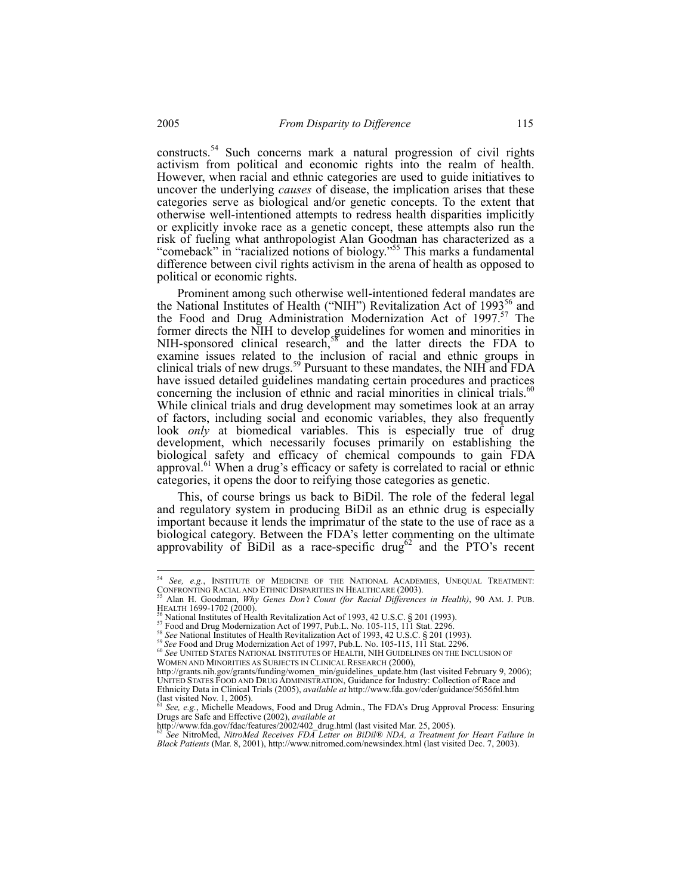constructs.54 Such concerns mark a natural progression of civil rights activism from political and economic rights into the realm of health. However, when racial and ethnic categories are used to guide initiatives to uncover the underlying *causes* of disease, the implication arises that these categories serve as biological and/or genetic concepts. To the extent that otherwise well-intentioned attempts to redress health disparities implicitly or explicitly invoke race as a genetic concept, these attempts also run the risk of fueling what anthropologist Alan Goodman has characterized as a "comeback" in "racialized notions of biology."<sup>55</sup> This marks a fundamental difference between civil rights activism in the arena of health as opposed to political or economic rights.

Prominent among such otherwise well-intentioned federal mandates are the National Institutes of Health ("NIH") Revitalization Act of 1993 $^{56}$  and the Food and Drug Administration Modernization Act of 1997.<sup>57</sup> The former directs the NIH to develop guidelines for women and minorities in NIH-sponsored clinical research,<sup>58</sup> and the latter directs the FDA to examine issues related to the inclusion of racial and ethnic groups in clinical trials of new drugs.<sup>59</sup> Pursuant to these mandates, the NIH and FDA have issued detailed guidelines mandating certain procedures and practices concerning the inclusion of ethnic and racial minorities in clinical trials.<sup>60</sup> While clinical trials and drug development may sometimes look at an array of factors, including social and economic variables, they also frequently look *only* at biomedical variables. This is especially true of drug development, which necessarily focuses primarily on establishing the biological safety and efficacy of chemical compounds to gain FDA approval.<sup>61</sup> When a drug's efficacy or safety is correlated to racial or ethnic categories, it opens the door to reifying those categories as genetic.

This, of course brings us back to BiDil. The role of the federal legal and regulatory system in producing BiDil as an ethnic drug is especially important because it lends the imprimatur of the state to the use of race as a biological category. Between the FDA's letter commenting on the ultimate approvability of BiDil as a race-specific drug<sup>62</sup> and the PTO's recent

<sup>54</sup> *See, e.g.*, INSTITUTE OF MEDICINE OF THE NATIONAL ACADEMIES, UNEQUAL TREATMENT:

CONFRONTING RACIAL AND ETHNIC DISPARITIES IN HEALTHCARE (2003). 55 Alan H. Goodman, *Why Genes Don't Count (for Racial Differences in Health)*, 90 AM. J. PUB.

<sup>&</sup>lt;sup>56</sup> National Institutes of Health Revitalization Act of 1993, 42 U.S.C. § 201 (1993).<br><sup>57</sup> Food and Drug Modernization Act of 1997, Pub.L. No. 105-115, 111 Stat. 2296.<br><sup>58</sup> See National Institutes of Health Revitalizatio WOMEN AND MINORITIES AS SUBJECTS IN CLINICAL RESEARCH (2000),

http://grants.nih.gov/grants/funding/women\_min/guidelines\_update.htm (last visited February 9, 2006); UNITED STATES FOOD AND DRUG ADMINISTRATION, Guidance for Industry: Collection of Race and Ethnicity Data in Clinical Trials (2005), *available at* http://www.fda.gov/cder/guidance/5656fnl.htm

<sup>(</sup>last visited Nov. 1, 2005). <sup>61</sup> *See, e.g.*, Michelle Meadows, Food and Drug Admin., The FDA's Drug Approval Process: Ensuring Drugs are Safe and Effective (2002), *available at* http://www.fda.gov/fdac/features/2002/402\_drug.html (last visited Mar. 25, 2005). 62 *See* NitroMed, *NitroMed Receives FDA Letter on BiDil® NDA, a Treatment for Heart Failure in* 

*Black Patients* (Mar. 8, 2001), http://www.nitromed.com/newsindex.html (last visited Dec. 7, 2003).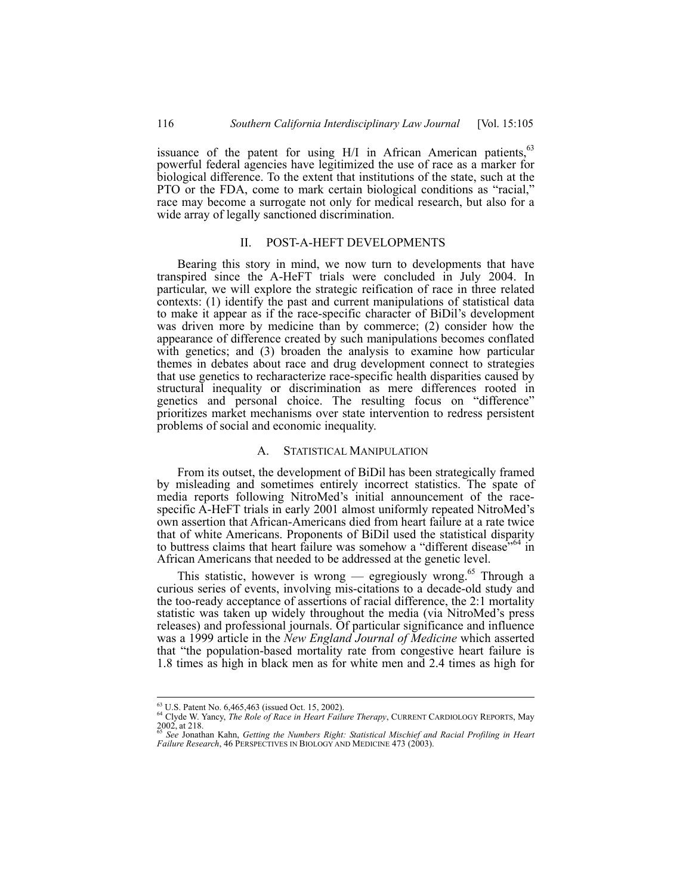issuance of the patent for using  $H/I$  in African American patients,  $63$ powerful federal agencies have legitimized the use of race as a marker for biological difference. To the extent that institutions of the state, such at the PTO or the FDA, come to mark certain biological conditions as "racial," race may become a surrogate not only for medical research, but also for a wide array of legally sanctioned discrimination.

# II. POST-A-HEFT DEVELOPMENTS

Bearing this story in mind, we now turn to developments that have transpired since the A-HeFT trials were concluded in July 2004. In particular, we will explore the strategic reification of race in three related contexts: (1) identify the past and current manipulations of statistical data to make it appear as if the race-specific character of BiDil's development was driven more by medicine than by commerce; (2) consider how the appearance of difference created by such manipulations becomes conflated with genetics; and (3) broaden the analysis to examine how particular themes in debates about race and drug development connect to strategies that use genetics to recharacterize race-specific health disparities caused by structural inequality or discrimination as mere differences rooted in genetics and personal choice. The resulting focus on "difference" prioritizes market mechanisms over state intervention to redress persistent problems of social and economic inequality.

### A. STATISTICAL MANIPULATION

From its outset, the development of BiDil has been strategically framed by misleading and sometimes entirely incorrect statistics. The spate of media reports following NitroMed's initial announcement of the racespecific A-HeFT trials in early 2001 almost uniformly repeated NitroMed's own assertion that African-Americans died from heart failure at a rate twice that of white Americans. Proponents of BiDil used the statistical disparity to buttress claims that heart failure was somehow a "different disease"<sup>64</sup> in African Americans that needed to be addressed at the genetic level.

This statistic, however is wrong — egregiously wrong.<sup>65</sup> Through a curious series of events, involving mis-citations to a decade-old study and the too-ready acceptance of assertions of racial difference, the 2:1 mortality statistic was taken up widely throughout the media (via NitroMed's press releases) and professional journals. Of particular significance and influence was a 1999 article in the *New England Journal of Medicine* which asserted that "the population-based mortality rate from congestive heart failure is 1.8 times as high in black men as for white men and 2.4 times as high for

<sup>&</sup>lt;sup>63</sup> U.S. Patent No. 6,465,463 (issued Oct. 15, 2002).

<sup>64</sup> Clyde W. Yancy, *The Role of Race in Heart Failure Therapy*, CURRENT CARDIOLOGY REPORTS, May<br>2002, at 218.<br>65 See Jonathan Kahn, Catting the Manuel Printer Contract of the Contract of See Jonathan Kahn.

<sup>2002,</sup> at 218. 65 *See* Jonathan Kahn, *Getting the Numbers Right: Statistical Mischief and Racial Profiling in Heart Failure Research*, 46 PERSPECTIVES IN BIOLOGY AND MEDICINE 473 (2003).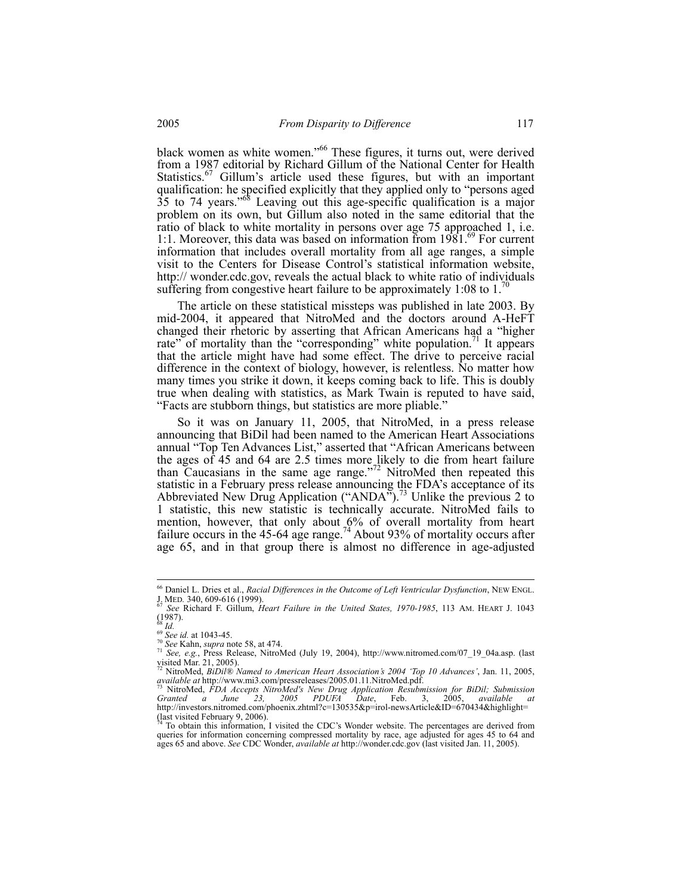black women as white women."<sup>66</sup> These figures, it turns out, were derived from a 1987 editorial by Richard Gillum of the National Center for Health Statistics.<sup>67</sup> Gillum's article used these figures, but with an important qualification: he specified explicitly that they applied only to "persons aged 35 to 74 years.<sup>68</sup> Leaving out this age-specific qualification is a major problem on its own, but Gillum also noted in the same editorial that the ratio of black to white mortality in persons over age 75 approached 1, i.e. 1:1. Moreover, this data was based on information from  $1981.^{69}$  For current information that includes overall mortality from all age ranges, a simple visit to the Centers for Disease Control's statistical information website, http:// wonder.cdc.gov, reveals the actual black to white ratio of individuals suffering from congestive heart failure to be approximately  $1:08$  to  $1.'$ 

The article on these statistical missteps was published in late 2003. By mid-2004, it appeared that NitroMed and the doctors around A-HeFT changed their rhetoric by asserting that African Americans had a "higher rate" of mortality than the "corresponding" white population.<sup>71</sup> It appears that the article might have had some effect. The drive to perceive racial difference in the context of biology, however, is relentless. No matter how many times you strike it down, it keeps coming back to life. This is doubly true when dealing with statistics, as Mark Twain is reputed to have said, "Facts are stubborn things, but statistics are more pliable."

So it was on January 11, 2005, that NitroMed, in a press release announcing that BiDil had been named to the American Heart Associations annual "Top Ten Advances List," asserted that "African Americans between the ages of 45 and 64 are 2.5 times more likely to die from heart failure than Caucasians in the same age range."<sup>72</sup> NitroMed then repeated this statistic in a February press release announcing the FDA's acceptance of its Abbreviated New Drug Application ("ANDA").<sup>73</sup> Unlike the previous 2 to 1 statistic, this new statistic is technically accurate. NitroMed fails to mention, however, that only about 6% of overall mortality from heart failure occurs in the 45-64 age range.<sup>74</sup> About 93% of mortality occurs after age 65, and in that group there is almost no difference in age-adjusted

 $\overline{\phantom{a}}$ 

<sup>66</sup> Daniel L. Dries et al., *Racial Differences in the Outcome of Left Ventricular Dysfunction*, NEW ENGL. J. MED*.* 340, 609-616 (1999). 67 *See* Richard F. Gillum, *Heart Failure in the United States, 1970-1985*, 113 AM. HEART J. 1043

 $(1987)$ .<br>
<sup>68</sup> *Id.*<br>
<sup>69</sup> *See id.* at 1043-45.

<sup>68</sup> *Id.* <sup>69</sup> *See id.* at 1043-45. 70 *See* Kahn, *supra* note 58, at 474. 71 *See, e.g.*, Press Release, NitroMed (July 19, 2004), http://www.nitromed.com/07\_19\_04a.asp. (last visited Mar. 21, 2005).

<sup>&</sup>lt;sup>72</sup> NitroMed, *BiDil® Named to American Heart Association's 2004 'Top 10 Advances'*, Jan. 11, 2005, *available at http://www.mi3.com/pressreleases/2005.01.11.NitroMed.pdf.* 

available at http://www.mi3.com/pressreleases/2005.01.11.NitroMed.pdf.<br><sup>73</sup> NitroMed, *FDA Accepts NitroMed's New Drug Application Resubmission for BiDil; Submission Granted a June 23, 2005 PDUFA Date, Feb. 3, 2005, availa* 

<sup>(</sup>last visited February 9, 2006).<br><sup>74</sup> To obtain this information, I visited the CDC's Wonder website. The percentages are derived from queries for information concerning compressed mortality by race, age adjusted for ages 45 to 64 and ages 65 and above. *See* CDC Wonder, *available at* http://wonder.cdc.gov (last visited Jan. 11, 2005).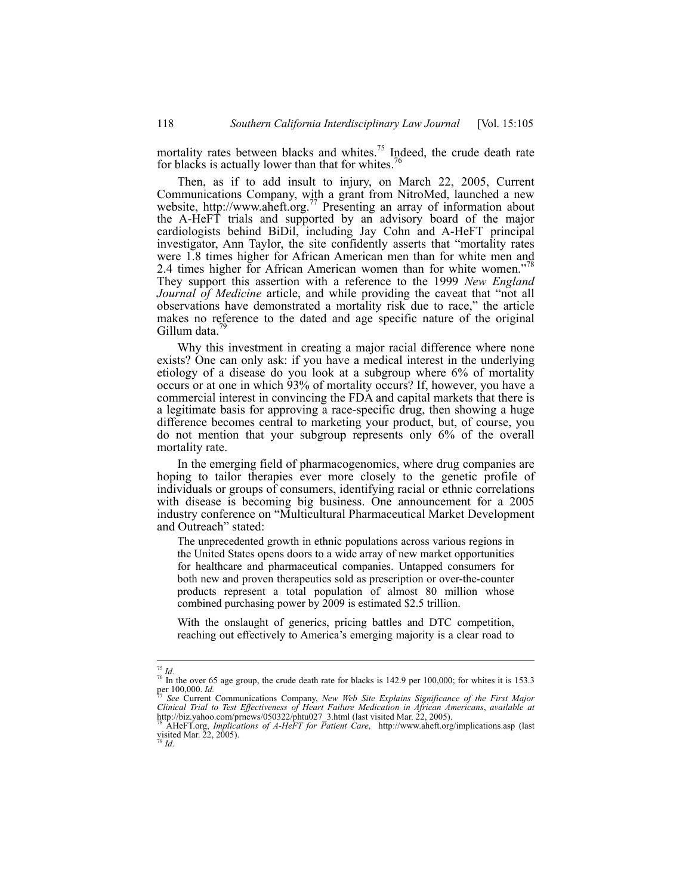mortality rates between blacks and whites.<sup>75</sup> Indeed, the crude death rate for blacks is actually lower than that for whites.<sup>7</sup>

Then, as if to add insult to injury, on March 22, 2005, Current Communications Company, with a grant from NitroMed, launched a new website, http://www.aheft.org.<sup>77</sup> Presenting an array of information about the A-HeFT trials and supported by an advisory board of the major cardiologists behind BiDil, including Jay Cohn and A-HeFT principal investigator, Ann Taylor, the site confidently asserts that "mortality rates were 1.8 times higher for African American men than for white men and 2.4 times higher for African American women than for white women."<sup>78</sup> They support this assertion with a reference to the 1999 *New England Journal of Medicine* article, and while providing the caveat that "not all observations have demonstrated a mortality risk due to race," the article makes no reference to the dated and age specific nature of the original Gillum data.<sup>4</sup>

Why this investment in creating a major racial difference where none exists? One can only ask: if you have a medical interest in the underlying etiology of a disease do you look at a subgroup where 6% of mortality occurs or at one in which 93% of mortality occurs? If, however, you have a commercial interest in convincing the FDA and capital markets that there is a legitimate basis for approving a race-specific drug, then showing a huge difference becomes central to marketing your product, but, of course, you do not mention that your subgroup represents only 6% of the overall mortality rate.

In the emerging field of pharmacogenomics, where drug companies are hoping to tailor therapies ever more closely to the genetic profile of individuals or groups of consumers, identifying racial or ethnic correlations with disease is becoming big business. One announcement for a 2005 industry conference on "Multicultural Pharmaceutical Market Development and Outreach" stated:

The unprecedented growth in ethnic populations across various regions in the United States opens doors to a wide array of new market opportunities for healthcare and pharmaceutical companies. Untapped consumers for both new and proven therapeutics sold as prescription or over-the-counter products represent a total population of almost 80 million whose combined purchasing power by 2009 is estimated \$2.5 trillion.

With the onslaught of generics, pricing battles and DTC competition, reaching out effectively to America's emerging majority is a clear road to

 $^{75}$  Id.

<sup>&</sup>lt;sup>76</sup> In the over 65 age group, the crude death rate for blacks is 142.9 per 100,000; for whites it is 153.3<br>per 100,000. *Id.*<br> $\frac{1}{27}$ 

per 100,000. *Id.* <sup>77</sup> *See* Current Communications Company, *New Web Site Explains Significance of the First Major Clinical Trial to Test Effectiveness of Heart Failure Medication in African Americans*, *available at*

http://biz.yahoo.com/prnews/050322/phtu027\_3.html (last visited Mar. 22, 2005).<br><sup>78</sup> AHeFT.org, *Implications of A-HeFT for Patient Care*, http://www.aheft.org/implications.asp (last visited Mar. 22, 2005).<br>visited Mar. 22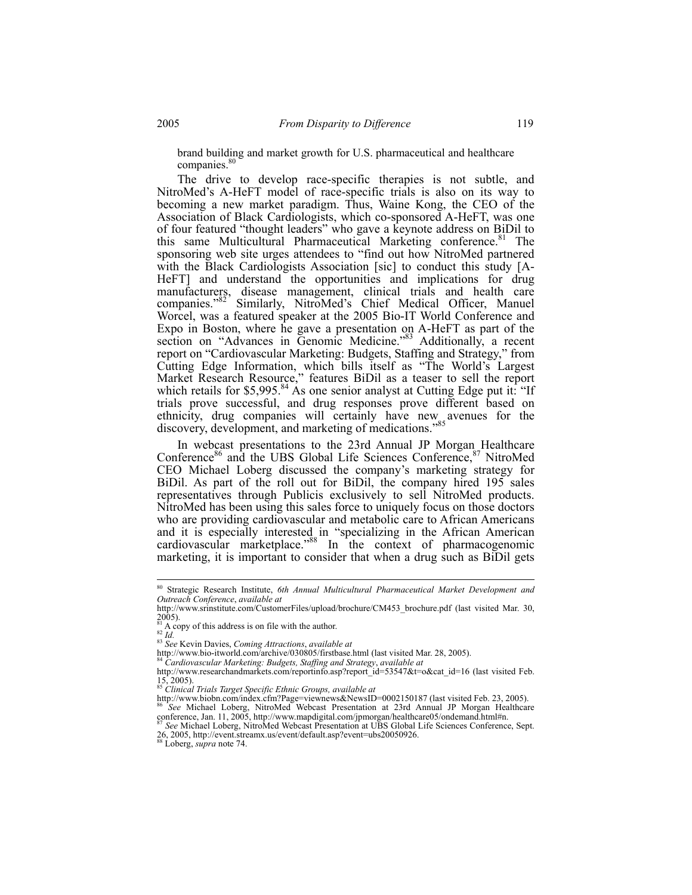brand building and market growth for U.S. pharmaceutical and healthcare companies.<sup>80</sup>

The drive to develop race-specific therapies is not subtle, and NitroMed's A-HeFT model of race-specific trials is also on its way to becoming a new market paradigm. Thus, Waine Kong, the CEO of the Association of Black Cardiologists, which co-sponsored A-HeFT, was one of four featured "thought leaders" who gave a keynote address on BiDil to this same Multicultural Pharmaceutical Marketing conference.<sup>81</sup> The sponsoring web site urges attendees to "find out how NitroMed partnered with the Black Cardiologists Association [sic] to conduct this study [A-HeFT] and understand the opportunities and implications for drug manufacturers, disease management, clinical trials and health care companies."<sup>82'</sup> Similarly, NitroMed's Chief Medical Officer, Manuel Worcel, was a featured speaker at the 2005 Bio-IT World Conference and Expo in Boston, where he gave a presentation on A-HeFT as part of the section on "Advances in Genomic Medicine."<sup>83</sup> Additionally, a recent report on "Cardiovascular Marketing: Budgets, Staffing and Strategy," from Cutting Edge Information, which bills itself as "The World's Largest Market Research Resource," features BiDil as a teaser to sell the report which retails for \$5,995.<sup>84</sup> As one senior analyst at Cutting Edge put it: "If trials prove successful, and drug responses prove different based on ethnicity, drug companies will certainly have new avenues for the discovery, development, and marketing of medications."85

In webcast presentations to the 23rd Annual JP Morgan Healthcare Conference<sup>86</sup> and the UBS Global Life Sciences Conference,<sup>87</sup> NitroMed CEO Michael Loberg discussed the company's marketing strategy for BiDil. As part of the roll out for BiDil, the company hired 195 sales representatives through Publicis exclusively to sell NitroMed products. NitroMed has been using this sales force to uniquely focus on those doctors who are providing cardiovascular and metabolic care to African Americans and it is especially interested in "specializing in the African American cardiovascular marketplace."<sup>88</sup> In the context of pharmacogenomic marketing, it is important to consider that when a drug such as BiDil gets

<sup>80</sup> Strategic Research Institute, *6th Annual Multicultural Pharmaceutical Market Development and Outreach Conference*, *available at*

http://www.srinstitute.com/CustomerFiles/upload/brochure/CM453\_brochure.pdf (last visited Mar. 30,  $2005$ ).

<sup>81</sup> A copy of this address is on file with the author. 82 *Id.* <sup>83</sup> *See* Kevin Davies, *Coming Attractions*, *available at* 

http://www.bio-itworld.com/archive/030805/firstbase.html (last visited Mar. 28, 2005). <sup>84</sup> *Cardiovascular Marketing: Budgets, Staffing and Strategy*, *available at* 

http://www.researchandmarkets.com/reportinfo.asp?report\_id=53547&t=o&cat\_id=16 (last visited Feb. 15, 2005). <sup>85</sup> *Clinical Trials Target Specific Ethnic Groups, available at* 

http://www.biobn.com/index.cfm?Page=viewnews&NewsID=0002150187 (last visited Feb. 23, 2005). 86 *See* Michael Loberg, NitroMed Webcast Presentation at 23rd Annual JP Morgan Healthcare

conference, Jan. 11, 2005, http://www.mapdigital.com/jpmorgan/healthcare05/ondemand.html#n. 87 *See* Michael Loberg, NitroMed Webcast Presentation at UBS Global Life Sciences Conference, Sept. <sup>87</sup> See Michael Loberg, NitroMed Webcast Presentation at UBS Global Life Sciences Conference, Sept. 26, 2005, http://event.streamx.us/event/default.asp?event=ubs20050926.<br><sup>88</sup> Loberg, *supra* note 74.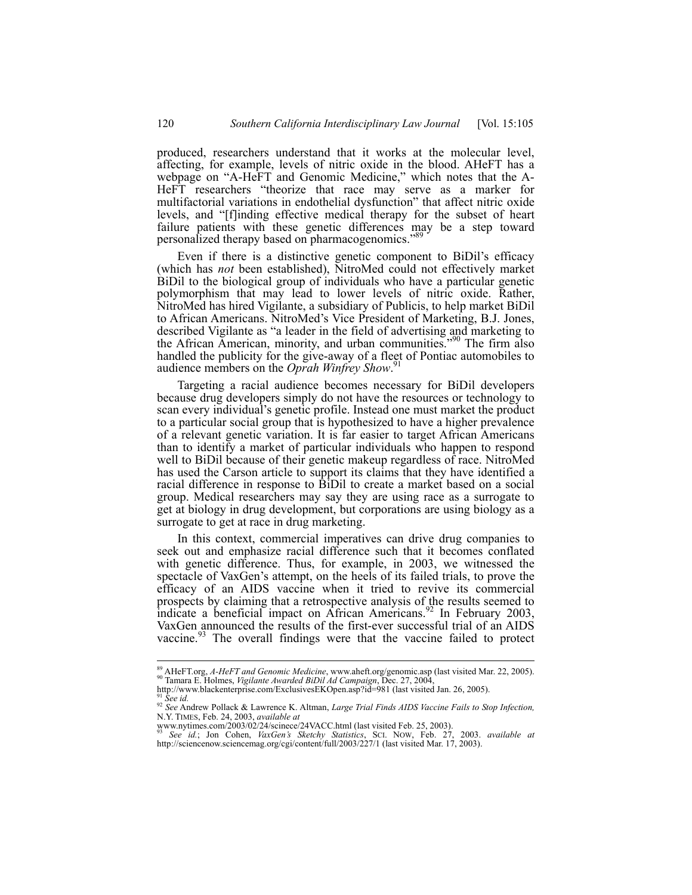produced, researchers understand that it works at the molecular level, affecting, for example, levels of nitric oxide in the blood. AHeFT has a webpage on "A-HeFT and Genomic Medicine," which notes that the A-HeFT researchers "theorize that race may serve as a marker for multifactorial variations in endothelial dysfunction" that affect nitric oxide levels, and "[f]inding effective medical therapy for the subset of heart failure patients with these genetic differences may be a step toward personalized therapy based on pharmacogenomics."<sup>89</sup>

Even if there is a distinctive genetic component to BiDil's efficacy (which has *not* been established), NitroMed could not effectively market BiDil to the biological group of individuals who have a particular genetic polymorphism that may lead to lower levels of nitric oxide. Rather, NitroMed has hired Vigilante, a subsidiary of Publicis, to help market BiDil to African Americans. NitroMed's Vice President of Marketing, B.J. Jones, described Vigilante as "a leader in the field of advertising and marketing to the African American, minority, and urban communities."90 The firm also handled the publicity for the give-away of a fleet of Pontiac automobiles to audience members on the *Oprah Winfrey Show*. 91

Targeting a racial audience becomes necessary for BiDil developers because drug developers simply do not have the resources or technology to scan every individual's genetic profile. Instead one must market the product to a particular social group that is hypothesized to have a higher prevalence of a relevant genetic variation. It is far easier to target African Americans than to identify a market of particular individuals who happen to respond well to BiDil because of their genetic makeup regardless of race. NitroMed has used the Carson article to support its claims that they have identified a racial difference in response to BiDil to create a market based on a social group. Medical researchers may say they are using race as a surrogate to get at biology in drug development, but corporations are using biology as a surrogate to get at race in drug marketing.

In this context, commercial imperatives can drive drug companies to seek out and emphasize racial difference such that it becomes conflated with genetic difference. Thus, for example, in 2003, we witnessed the spectacle of VaxGen's attempt, on the heels of its failed trials, to prove the efficacy of an AIDS vaccine when it tried to revive its commercial prospects by claiming that a retrospective analysis of the results seemed to indicate a beneficial impact on African Americans.<sup>92</sup> In February 2003, VaxGen announced the results of the first-ever successful trial of an AIDS vaccine.<sup>93</sup> The overall findings were that the vaccine failed to protect

 $\overline{a}$ <sup>89</sup> AHeFT.org, *A-HeFT and Genomic Medicine*, www.aheft.org/genomic.asp (last visited Mar. 22, 2005).<br><sup>90</sup> Tamara E. Holmes, *Vigilante Awarded BiDil Ad Campaign*, Dec. 27, 2004,

http://www.blackenterprise.com/ExclusivesEKOpen.asp?id=981 (last visited Jan. 26, 2005).<br><sup>91</sup> See id.<br><sup>92</sup> See Andrew Pollack & Lawrence K. Altman, *Large Trial Finds AIDS Vaccine Fails to Stop Infection*, N.Y. TIMES, Feb. 24, 2003, *available at*

www.nytimes.com/2003/02/24/scinece/24VACC.html (last visited Feb. 25, 2003). <sup>93</sup> *See id.*; Jon Cohen, *VaxGen's Sketchy Statistics*, SCI. NOW, Feb. 27, 2003. *available at* http://sciencenow.sciencemag.org/cgi/content/full/2003/227/1 (last visited Mar. 17, 2003).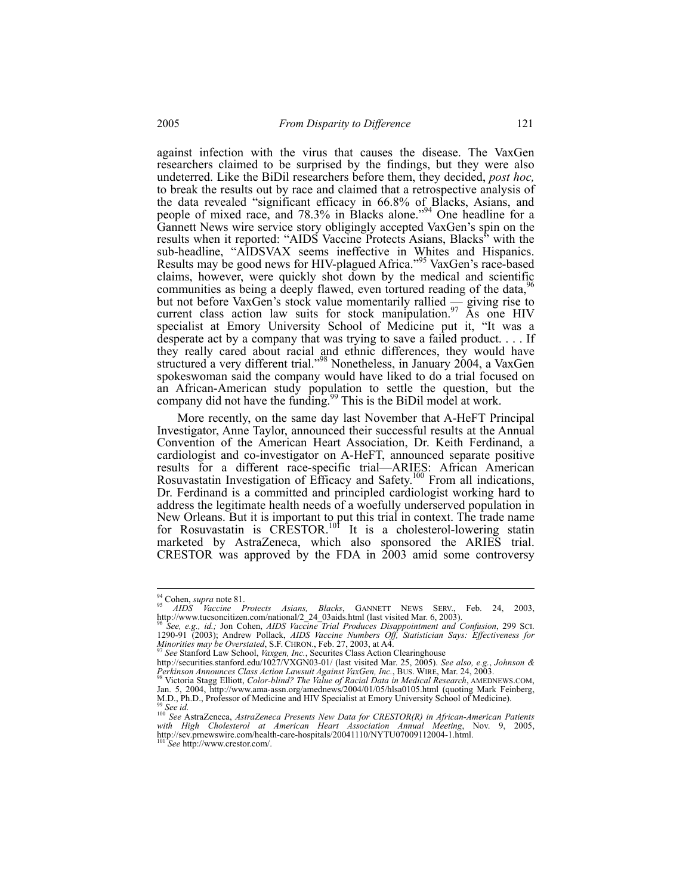against infection with the virus that causes the disease. The VaxGen researchers claimed to be surprised by the findings, but they were also undeterred. Like the BiDil researchers before them, they decided, *post hoc,*  to break the results out by race and claimed that a retrospective analysis of the data revealed "significant efficacy in 66.8% of Blacks, Asians, and people of mixed race, and 78.3% in Blacks alone."94 One headline for a Gannett News wire service story obligingly accepted VaxGen's spin on the results when it reported: "AIDS Vaccine Protects Asians, Blacks" with the sub-headline, "AIDSVAX seems ineffective in Whites and Hispanics. Results may be good news for HIV-plagued Africa."95 VaxGen's race-based claims, however, were quickly shot down by the medical and scientific communities as being a deeply flawed, even tortured reading of the data, <sup>96</sup> but not before VaxGen's stock value momentarily rallied  $\frac{1}{x}$  giving rise to current class action law suits for stock manipulation.<sup>97</sup> As one HIV specialist at Emory University School of Medicine put it, "It was a desperate act by a company that was trying to save a failed product. . . . If they really cared about racial and ethnic differences, they would have structured a very different trial."<sup>98</sup> Nonetheless, in January 2004, a VaxGen spokeswoman said the company would have liked to do a trial focused on an African-American study population to settle the question, but the company did not have the funding.<sup>99</sup> This is the BiDil model at work.

More recently, on the same day last November that A-HeFT Principal Investigator, Anne Taylor, announced their successful results at the Annual Convention of the American Heart Association, Dr. Keith Ferdinand, a cardiologist and co-investigator on A-HeFT, announced separate positive results for a different race-specific trial—ARIES: African American Rosuvastatin Investigation of Efficacy and Safety.<sup>100</sup> From all indications, Dr. Ferdinand is a committed and principled cardiologist working hard to address the legitimate health needs of a woefully underserved population in New Orleans. But it is important to put this trial in context. The trade name for Rosuvastatin is  $CR\text{ESTOR}.^{101}$  It is a cholesterol-lowering statin marketed by AstraZeneca, which also sponsored the ARIES trial. CRESTOR was approved by the FDA in 2003 amid some controversy

 $^{94}_{95}$  Cohen, *supra* note 81.

<sup>94</sup> Cohen, *supra* note 81. 95 *AIDS Vaccine Protects Asians, Blacks*, GANNETT NEWS SERV., Feb. 24, 2003, http://www.tucsoncitizen.com/national/2\_24\_03aids.html (last visited Mar. 6, 2003). 96 *See, e.g., id.;* Jon Cohen, *AIDS Vaccine Trial Produces Disappointment and Confusion*, 299 SCI.

<sup>1290-91 (2003);</sup> Andrew Pollack, *AIDS Vaccine Numbers Off, Statistician Says: Effectiveness for Minorities may be Overstated*, S.F. CHRON., Feb. 27, 2003, at A4.<br><sup>97</sup> *See* Stanford Law School, *Vaxgen, Inc.*, Securites Class Action Clearinghouse

http://securities.stanford.edu/1027/VXGN03-01/ (last visited Mar. 25, 2005). *See also, e.g.*, *Johnson & Perkinson Announces Class Action Lawsuit Against VaxGen, Inc.*, BUS. WIRE, Mar. 24, 2003. 98 Victoria Stagg Elliott, *Color-blind? The Value of Racial Data in Medical Research*, AMEDNEWS.COM,

Jan. 5, 2004, http://www.ama-assn.org/amednews/2004/01/05/hlsa0105.html (quoting Mark Feinberg, M.D., Ph.D., Professor of Medicine and HIV Specialist at Emory University School of Medicine).

<sup>39</sup> See id.<br>
<sup>100</sup> See AstraZeneca, *AstraZeneca Presents New Data for CRESTOR(R) in African-American Patients* with High Cholesterol at American Heart Association Annual Meeting, Nov. 9, 2005, http://sev.prnewswire.com/health-care-hospitals/20041110/NYTU07009112004-1.html. 101 *See* http://www.crestor.com/.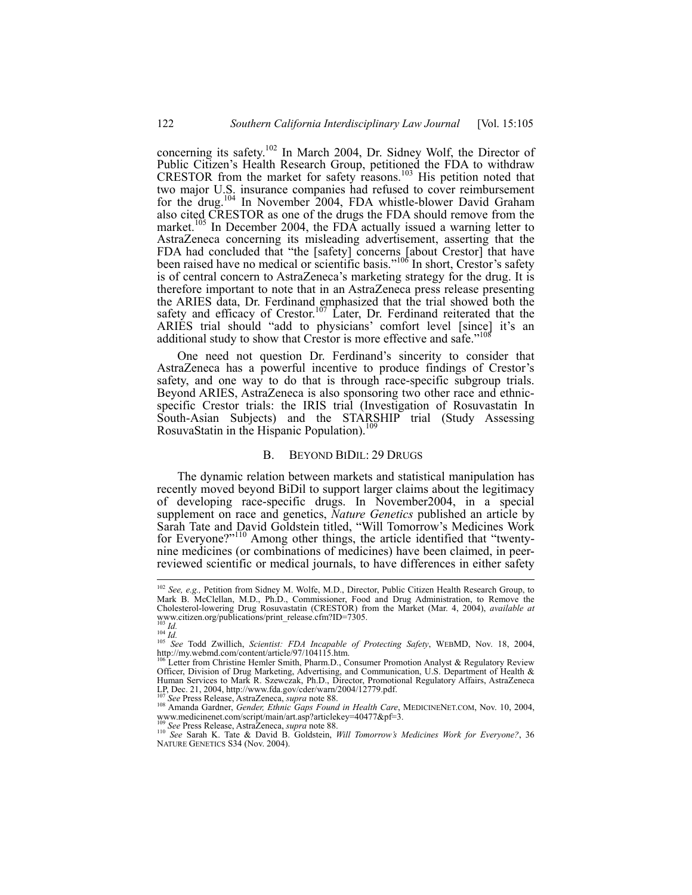concerning its safety.<sup>102</sup> In March 2004, Dr. Sidney Wolf, the Director of Public Citizen's Health Research Group, petitioned the FDA to withdraw CRESTOR from the market for safety reasons.<sup>103</sup> His petition noted that two major U.S. insurance companies had refused to cover reimbursement for the drug.104 In November 2004, FDA whistle-blower David Graham also cited CRESTOR as one of the drugs the FDA should remove from the market.<sup>105</sup> In December 2004, the FDA actually issued a warning letter to AstraZeneca concerning its misleading advertisement, asserting that the FDA had concluded that "the [safety] concerns [about Crestor] that have been raised have no medical or scientific basis."<sup>106</sup> In short, Crestor's safety is of central concern to AstraZeneca's marketing strategy for the drug. It is therefore important to note that in an AstraZeneca press release presenting the ARIES data, Dr. Ferdinand emphasized that the trial showed both the safety and efficacy of Crestor.<sup>107</sup> Later, Dr. Ferdinand reiterated that the ARIES trial should "add to physicians' comfort level [since] it's an additional study to show that Crestor is more effective and safe."<sup>108</sup>

One need not question Dr. Ferdinand's sincerity to consider that AstraZeneca has a powerful incentive to produce findings of Crestor's safety, and one way to do that is through race-specific subgroup trials. Beyond ARIES, AstraZeneca is also sponsoring two other race and ethnicspecific Crestor trials: the IRIS trial (Investigation of Rosuvastatin In South-Asian Subjects) and the STARSHIP trial (Study Assessing RosuvaStatin in the Hispanic Population).<sup>1</sup>

### B. BEYOND BIDIL: 29 DRUGS

The dynamic relation between markets and statistical manipulation has recently moved beyond BiDil to support larger claims about the legitimacy of developing race-specific drugs. In November2004, in a special supplement on race and genetics, *Nature Genetics* published an article by Sarah Tate and David Goldstein titled, "Will Tomorrow's Medicines Work for Everyone?"<sup>110</sup> Among other things, the article identified that "twentynine medicines (or combinations of medicines) have been claimed, in peerreviewed scientific or medical journals, to have differences in either safety

 $\overline{\phantom{a}}$ 

<sup>102</sup> *See, e.g.,* Petition from Sidney M. Wolfe, M.D., Director, Public Citizen Health Research Group, to Mark B. McClellan, M.D., Ph.D., Commissioner, Food and Drug Administration, to Remove the Cholesterol-lowering Drug Rosuvastatin (CRESTOR) from the Market (Mar. 4, 2004), *available at* www.citizen.org/publications/print\_release.cfm?ID=7305.<br><sup>103</sup> *Id.*<br><sup>104</sup> *Id.* 2004 *Id.* 105 *See* Todd Zwillich, *Scientist: FDA Incapable of Protecting Safety*, WEBMD, Nov. 18, 2004,

http://my.webmd.com/content/article/97/104115.htm.

Letter from Christine Hemler Smith, Pharm.D., Consumer Promotion Analyst & Regulatory Review Officer, Division of Drug Marketing, Advertising, and Communication, U.S. Department of Health & Human Services to Mark R. Szewczak, Ph.D., Director, Promotional Regulatory Affairs, AstraZeneca

<sup>107</sup> See Press Release, AstraZeneca, *supra* note 88.<br><sup>108</sup> See Press Release, AstraZeneca, *supra* note 88.<br><sup>108</sup> Amanda Gardner, *Gender, Ethnic Gaps Found in Health Care*, MEDICINENET.COM, Nov. 10, 2004, www.medicinenet.com/script/main/art.asp?articlekey=40477&pf=3.

<sup>109</sup> *See* Press Release, AstraZeneca, *supra* note 88. 110 *See* Sarah K. Tate & David B. Goldstein, *Will Tomorrow's Medicines Work for Everyone?*, 36 NATURE GENETICS S34 (Nov. 2004).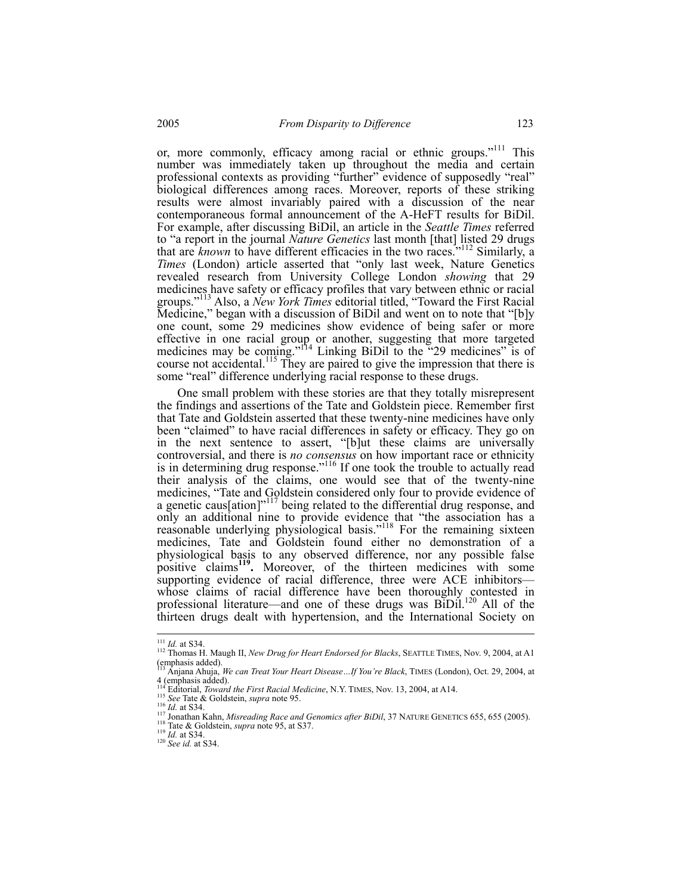or, more commonly, efficacy among racial or ethnic groups."<sup>111</sup> This number was immediately taken up throughout the media and certain professional contexts as providing "further" evidence of supposedly "real" biological differences among races. Moreover, reports of these striking results were almost invariably paired with a discussion of the near contemporaneous formal announcement of the A-HeFT results for BiDil. For example, after discussing BiDil, an article in the *Seattle Times* referred to "a report in the journal *Nature Genetics* last month [that] listed 29 drugs that are *known* to have different efficacies in the two races.<sup>"112</sup> Similarly, a *Times* (London) article asserted that "only last week, Nature Genetics revealed research from University College London *showing* that 29 medicines have safety or efficacy profiles that vary between ethnic or racial groups."113 Also, a *New York Times* editorial titled, "Toward the First Racial Medicine," began with a discussion of BiDil and went on to note that "[b]y one count, some 29 medicines show evidence of being safer or more effective in one racial group or another, suggesting that more targeted medicines may be coming."<sup>114</sup> Linking BiDil to the "29 medicines" is of course not accidental.<sup>115</sup> They are paired to give the impression that there is some "real" difference underlying racial response to these drugs.

One small problem with these stories are that they totally misrepresent the findings and assertions of the Tate and Goldstein piece. Remember first that Tate and Goldstein asserted that these twenty-nine medicines have only been "claimed" to have racial differences in safety or efficacy. They go on in the next sentence to assert, "[b]ut these claims are universally controversial, and there is *no consensus* on how important race or ethnicity is in determining drug response."<sup>116</sup> If one took the trouble to actually read their analysis of the claims, one would see that of the twenty-nine medicines, "Tate and Goldstein considered only four to provide evidence of a genetic caus[ation]<sup>"117</sup> being related to the differential drug response, and only an additional nine to provide evidence that "the association has a reasonable underlying physiological basis."<sup>118</sup> For the remaining sixteen medicines, Tate and Goldstein found either no demonstration of a physiological basis to any observed difference, nor any possible false positive claims<sup>119</sup>. Moreover, of the thirteen medicines with some supporting evidence of racial difference, three were ACE inhibitors whose claims of racial difference have been thoroughly contested in professional literature—and one of these drugs was BiDil.<sup>120</sup> All of the thirteen drugs dealt with hypertension, and the International Society on

<sup>&</sup>lt;sup>111</sup> *Id.* at S34.

<sup>112</sup> Thomas H. Maugh II, *New Drug for Heart Endorsed for Blacks*, SEATTLE TIMES, Nov. 9, 2004, at A1 (emphasis added).

<sup>113</sup> Anjana Ahuja, *We can Treat Your Heart Disease…If You're Black*, TIMES (London), Oct. 29, 2004, at 4 (emphasis added).<br> $^{114}$  Editorial, *Toward the First Racial Medicine*, N.Y. TIMES, Nov. 13, 2004, at A14.

<sup>115</sup> See Tate & Goldstein, *supra* note 95.<br>
<sup>116</sup> *Id.* at S34.<br>
<sup>116</sup> *Id.* at S34.<br>
<sup>116</sup> *Id.* at S34.<br>
<sup>117</sup> Jonathan Kahn, *Misredding Race and Genomics after BiDil*, 37 NATURE GENETICS 655, 655 (2005).<br>
<sup>119</sup> *Id.*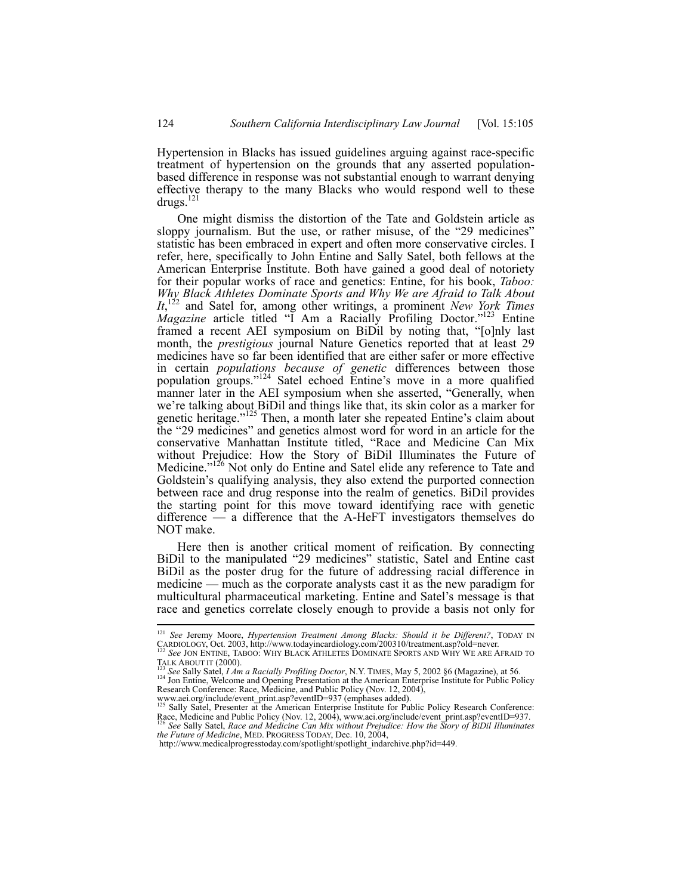Hypertension in Blacks has issued guidelines arguing against race-specific treatment of hypertension on the grounds that any asserted populationbased difference in response was not substantial enough to warrant denying effective therapy to the many Blacks who would respond well to these drugs.<sup>121</sup>

One might dismiss the distortion of the Tate and Goldstein article as sloppy journalism. But the use, or rather misuse, of the "29 medicines" statistic has been embraced in expert and often more conservative circles. I refer, here, specifically to John Entine and Sally Satel, both fellows at the American Enterprise Institute. Both have gained a good deal of notoriety for their popular works of race and genetics: Entine, for his book, *Taboo: Why Black Athletes Dominate Sports and Why We are Afraid to Talk About*  It,<sup>122</sup> and Satel for, among other writings, a prominent *New York Times Magazine* article titled "I Am a Racially Profiling Doctor."<sup>123</sup> Entine framed a recent AEI symposium on BiDil by noting that, "[o]nly last month, the *prestigious* journal Nature Genetics reported that at least 29 medicines have so far been identified that are either safer or more effective in certain *populations because of genetic* differences between those population groups."124 Satel echoed Entine's move in a more qualified manner later in the AEI symposium when she asserted, "Generally, when we're talking about BiDil and things like that, its skin color as a marker for genetic heritage."<sup>125</sup> Then, a month later she repeated Entine's claim about the "29 medicines" and genetics almost word for word in an article for the conservative Manhattan Institute titled, "Race and Medicine Can Mix without Prejudice: How the Story of BiDil Illuminates the Future of Medicine."<sup>126</sup> Not only do Entine and Satel elide any reference to Tate and Goldstein's qualifying analysis, they also extend the purported connection between race and drug response into the realm of genetics. BiDil provides the starting point for this move toward identifying race with genetic difference — a difference that the A-HeFT investigators themselves do NOT make.

Here then is another critical moment of reification. By connecting BiDil to the manipulated "29 medicines" statistic, Satel and Entine cast BiDil as the poster drug for the future of addressing racial difference in medicine — much as the corporate analysts cast it as the new paradigm for multicultural pharmaceutical marketing. Entine and Satel's message is that race and genetics correlate closely enough to provide a basis not only for

<sup>121</sup> *See* Jeremy Moore, *Hypertension Treatment Among Blacks: Should it be Different?*, TODAY IN CARDIOLOGY, Oct. 2003, http://www.todayincardiology.com/200310/treatment.asp?old=never. 122<br>
<sup>122</sup> *See* JON ENTINE, TABOO: WHY BLACK ATHLETES DOMINATE SPORTS AND WHY WE ARE AFRAID TO<br>
124 See JON ENTINE, TABOO: WHY BLACK

<sup>&</sup>lt;sup>123</sup> See Sally Satel, *I Am a Racially Profiling Doctor*, N.Y. TIMES, May 5, 2002 §6 (Magazine), at 56.<br><sup>124</sup> Jon Entine, Welcome and Opening Presentation at the American Enterprise Institute for Public Policy Research Conference: Race, Medicine, and Public Policy (Nov. 12, 2004),

www.aei.org/include/event\_print.asp?eventID=937 (emphases added).<br><sup>125</sup> Sally Satel, Presenter at the American Enterprise Institute for Public Policy Research Conference: Race, Medicine and Public Policy (Nov. 12, 2004), www.aei.org/include/event\_print.asp?eventID=937.<br><sup>126</sup> See Sally Satel, *Race and Medicine Can Mix without Prejudice: How the Story of BiDil Illuminates*<br>*the Future of Med* 

http://www.medicalprogresstoday.com/spotlight/spotlight\_indarchive.php?id=449.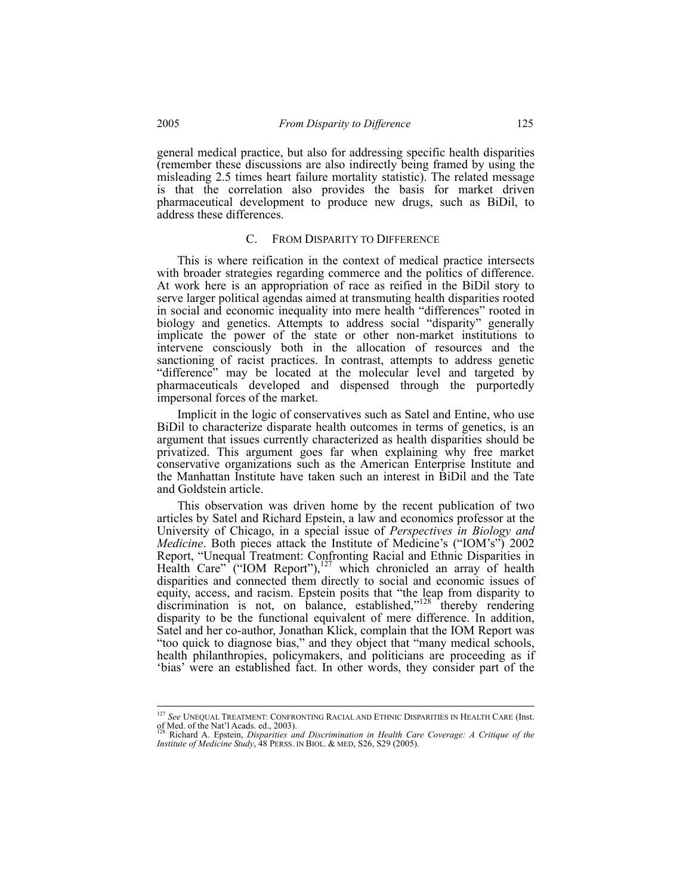general medical practice, but also for addressing specific health disparities (remember these discussions are also indirectly being framed by using the misleading 2.5 times heart failure mortality statistic). The related message is that the correlation also provides the basis for market driven pharmaceutical development to produce new drugs, such as BiDil, to address these differences.

# C. FROM DISPARITY TO DIFFERENCE

This is where reification in the context of medical practice intersects with broader strategies regarding commerce and the politics of difference. At work here is an appropriation of race as reified in the BiDil story to serve larger political agendas aimed at transmuting health disparities rooted in social and economic inequality into mere health "differences" rooted in biology and genetics. Attempts to address social "disparity" generally implicate the power of the state or other non-market institutions to intervene consciously both in the allocation of resources and the sanctioning of racist practices. In contrast, attempts to address genetic "difference" may be located at the molecular level and targeted by pharmaceuticals developed and dispensed through the purportedly impersonal forces of the market.

Implicit in the logic of conservatives such as Satel and Entine, who use BiDil to characterize disparate health outcomes in terms of genetics, is an argument that issues currently characterized as health disparities should be privatized. This argument goes far when explaining why free market conservative organizations such as the American Enterprise Institute and the Manhattan Institute have taken such an interest in BiDil and the Tate and Goldstein article.

This observation was driven home by the recent publication of two articles by Satel and Richard Epstein, a law and economics professor at the University of Chicago, in a special issue of *Perspectives in Biology and Medicine*. Both pieces attack the Institute of Medicine's ("IOM's") 2002 Report, "Unequal Treatment: Confronting Racial and Ethnic Disparities in Health Care" ("IOM Report"),<sup>127</sup> which chronicled an array of health disparities and connected them directly to social and economic issues of equity, access, and racism. Epstein posits that "the leap from disparity to discrimination is not, on balance, established," $128$  thereby rendering disparity to be the functional equivalent of mere difference. In addition, Satel and her co-author, Jonathan Klick, complain that the IOM Report was "too quick to diagnose bias," and they object that "many medical schools, health philanthropies, policymakers, and politicians are proceeding as if 'bias' were an established fact. In other words, they consider part of the

<sup>127</sup> *See* UNEQUAL TREATMENT: CONFRONTING RACIAL AND ETHNIC DISPARITIES IN HEALTH CARE (Inst. of Med. of the Nat'l Acads. ed., 2003). 128 Richard A. Epstein, *Disparities and Discrimination in Health Care Coverage: A Critique of the* 

*Institute of Medicine Study*, 48 PERSS. IN BIOL. & MED, S26, S29 (2005).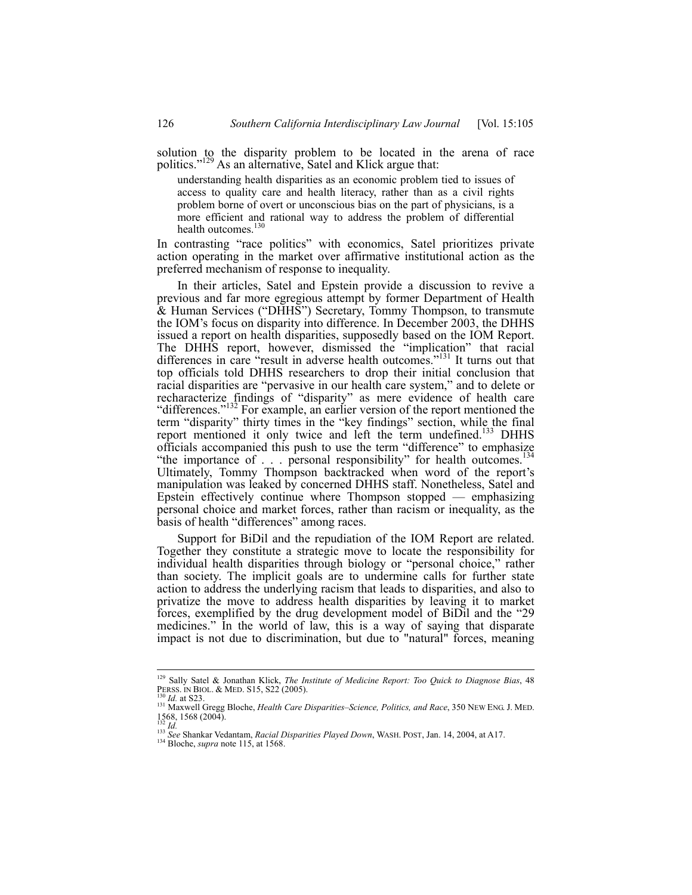solution to the disparity problem to be located in the arena of race politics."<sup>129</sup> As an alternative, Satel and Klick argue that:

understanding health disparities as an economic problem tied to issues of access to quality care and health literacy, rather than as a civil rights problem borne of overt or unconscious bias on the part of physicians, is a more efficient and rational way to address the problem of differential health outcomes.<sup>130</sup>

In contrasting "race politics" with economics, Satel prioritizes private action operating in the market over affirmative institutional action as the preferred mechanism of response to inequality.

In their articles, Satel and Epstein provide a discussion to revive a previous and far more egregious attempt by former Department of Health & Human Services ("DHHS") Secretary, Tommy Thompson, to transmute the IOM's focus on disparity into difference. In December 2003, the DHHS issued a report on health disparities, supposedly based on the IOM Report. The DHHS report, however, dismissed the "implication" that racial differences in care "result in adverse health outcomes."131 It turns out that top officials told DHHS researchers to drop their initial conclusion that racial disparities are "pervasive in our health care system," and to delete or recharacterize findings of "disparity" as mere evidence of health care "differences."<sup>132</sup> For example, an earlier version of the report mentioned the term "disparity" thirty times in the "key findings" section, while the final report mentioned it only twice and left the term undefined.<sup>133</sup> DHHS officials accompanied this push to use the term "difference" to emphasize "the importance of . . . personal responsibility" for health outcomes.<sup>134</sup> Ultimately, Tommy Thompson backtracked when word of the report's manipulation was leaked by concerned DHHS staff. Nonetheless, Satel and Epstein effectively continue where Thompson stopped — emphasizing personal choice and market forces, rather than racism or inequality, as the basis of health "differences" among races.

Support for BiDil and the repudiation of the IOM Report are related. Together they constitute a strategic move to locate the responsibility for individual health disparities through biology or "personal choice," rather than society. The implicit goals are to undermine calls for further state action to address the underlying racism that leads to disparities, and also to privatize the move to address health disparities by leaving it to market forces, exemplified by the drug development model of BiDil and the "29 medicines." In the world of law, this is a way of saying that disparate impact is not due to discrimination, but due to "natural" forces, meaning

<sup>129</sup> Sally Satel & Jonathan Klick, *The Institute of Medicine Report: Too Quick to Diagnose Bias*, 48 PERSS. IN BIOL. & MED. S15, S22 (2005).<br><sup>130</sup> *Id.* at S23. *Id.* at S23. <sup>131</sup> Maxwell Gregg Bloche, *Health Care Disparities–Science, Politics, and Race*, 350 NEW ENG. J. MED.

<sup>1568, 1568 (2004).</sup>  <sup>132</sup> *Id.* <sup>133</sup> *See* Shankar Vedantam, *Racial Disparities Played Down*, WASH. POST, Jan. 14, 2004, at A17. 134 Bloche, *supra* note 115, at 1568.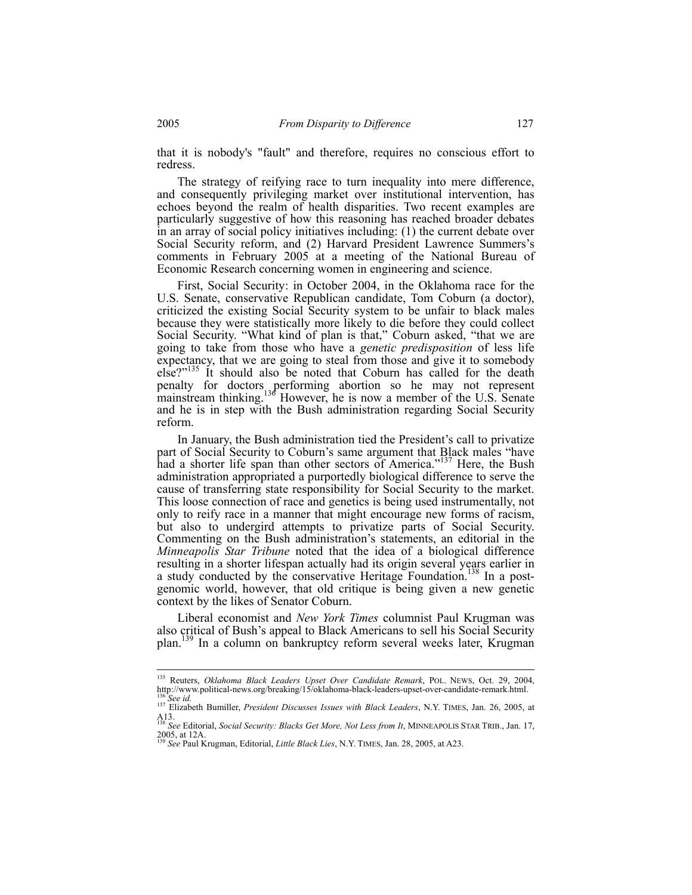that it is nobody's "fault" and therefore, requires no conscious effort to redress.

The strategy of reifying race to turn inequality into mere difference, and consequently privileging market over institutional intervention, has echoes beyond the realm of health disparities. Two recent examples are particularly suggestive of how this reasoning has reached broader debates in an array of social policy initiatives including: (1) the current debate over Social Security reform, and (2) Harvard President Lawrence Summers's comments in February 2005 at a meeting of the National Bureau of Economic Research concerning women in engineering and science.

First, Social Security: in October 2004, in the Oklahoma race for the U.S. Senate, conservative Republican candidate, Tom Coburn (a doctor), criticized the existing Social Security system to be unfair to black males because they were statistically more likely to die before they could collect Social Security. "What kind of plan is that," Coburn asked, "that we are going to take from those who have a *genetic predisposition* of less life expectancy, that we are going to steal from those and give it to somebody else?"<sup>135</sup> It should also be noted that Coburn has called for the death penalty for doctors performing abortion so he may not represent mainstream thinking.<sup>136</sup> However, he is now a member of the U.S. Senate and he is in step with the Bush administration regarding Social Security reform.

In January, the Bush administration tied the President's call to privatize part of Social Security to Coburn's same argument that Black males "have had a shorter life span than other sectors of America."<sup>137</sup> Here, the Bush administration appropriated a purportedly biological difference to serve the cause of transferring state responsibility for Social Security to the market. This loose connection of race and genetics is being used instrumentally, not only to reify race in a manner that might encourage new forms of racism, but also to undergird attempts to privatize parts of Social Security. Commenting on the Bush administration's statements, an editorial in the *Minneapolis Star Tribune* noted that the idea of a biological difference resulting in a shorter lifespan actually had its origin several years earlier in a study conducted by the conservative Heritage Foundation.<sup>138</sup> In a postgenomic world, however, that old critique is being given a new genetic context by the likes of Senator Coburn.

Liberal economist and *New York Times* columnist Paul Krugman was also critical of Bush's appeal to Black Americans to sell his Social Security plan.<sup>139</sup> In a column on bankruptcy reform several weeks later, Krugman

<sup>135</sup> Reuters, *Oklahoma Black Leaders Upset Over Candidate Remark*, POL. NEWS, Oct. 29, 2004, http://www.political-news.org/breaking/15/oklahoma-black-leaders-upset-over-candidate-remark.html.<br><sup>136</sup> See id.<br><sup>137</sup> Elizabeth Bumiller, *President Discusses Issues with Black Leaders*, N.Y. TIMES, Jan. 26, 2005, at

A13. <sup>138</sup> *See* Editorial, *Social Security: Blacks Get More, Not Less from It*, MINNEAPOLIS STAR TRIB., Jan. 17,

<sup>2005,</sup> at 12A. <sup>139</sup> *See* Paul Krugman, Editorial, *Little Black Lies*, N.Y. TIMES, Jan. 28, 2005, at A23.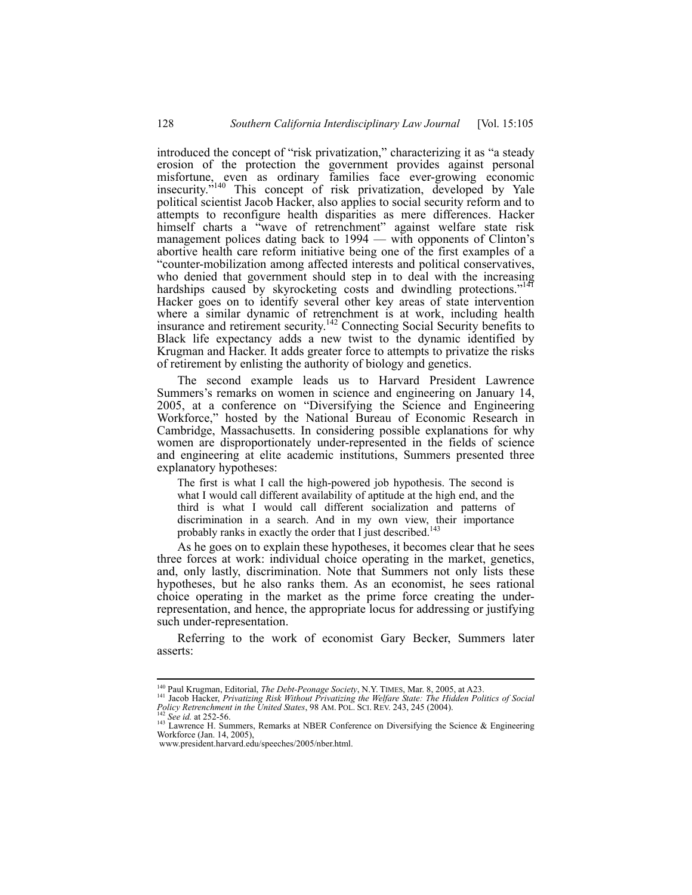introduced the concept of "risk privatization," characterizing it as "a steady erosion of the protection the government provides against personal misfortune, even as ordinary families face ever-growing economic insecurity."140 This concept of risk privatization, developed by Yale political scientist Jacob Hacker, also applies to social security reform and to attempts to reconfigure health disparities as mere differences. Hacker himself charts a "wave of retrenchment" against welfare state risk management polices dating back to 1994 — with opponents of Clinton's abortive health care reform initiative being one of the first examples of a "counter-mobilization among affected interests and political conservatives, who denied that government should step in to deal with the increasing hardships caused by skyrocketing costs and dwindling protections."<sup>14</sup> Hacker goes on to identify several other key areas of state intervention where a similar dynamic of retrenchment is at work, including health insurance and retirement security.142 Connecting Social Security benefits to Black life expectancy adds a new twist to the dynamic identified by Krugman and Hacker. It adds greater force to attempts to privatize the risks of retirement by enlisting the authority of biology and genetics.

The second example leads us to Harvard President Lawrence Summers's remarks on women in science and engineering on January 14, 2005, at a conference on "Diversifying the Science and Engineering Workforce," hosted by the National Bureau of Economic Research in Cambridge, Massachusetts. In considering possible explanations for why women are disproportionately under-represented in the fields of science and engineering at elite academic institutions, Summers presented three explanatory hypotheses:

The first is what I call the high-powered job hypothesis. The second is what I would call different availability of aptitude at the high end, and the third is what I would call different socialization and patterns of discrimination in a search. And in my own view, their importance probably ranks in exactly the order that I just described.<sup>143</sup>

As he goes on to explain these hypotheses, it becomes clear that he sees three forces at work: individual choice operating in the market, genetics, and, only lastly, discrimination. Note that Summers not only lists these hypotheses, but he also ranks them. As an economist, he sees rational choice operating in the market as the prime force creating the underrepresentation, and hence, the appropriate locus for addressing or justifying such under-representation.

Referring to the work of economist Gary Becker, Summers later asserts:

<sup>&</sup>lt;sup>140</sup> Paul Krugman, Editorial, *The Debt-Peonage Society*, N.Y. TIMES, Mar. 8, 2005, at A23.<br><sup>141</sup> Jacob Hacker, *Privatizing Risk Without Privatizing the Welfare State: The Hidden Politics of Social Policy Retrenchment in the United States*, 98 AM. POL. SCI. REV. 243, 245 (2004).<br><sup>142</sup> *See id.* at 252-56.<br><sup>143</sup> Lawrence H. Summers, Remarks at NBER Conference on Diversifying the Science & Engineering

The two discusses of the Science H. Summers, Remarks at NBER Conference on Diversifying the Science & Engineering Workforce (Jan. 14, 2005).

www.president.harvard.edu/speeches/2005/nber.html.